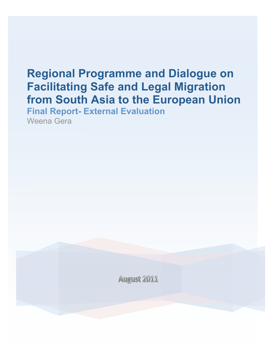# **Regional Programme and Dialogue on Facilitating Safe and Legal Migration from South Asia to the European Union Final Report- External Evaluation**

Weena Gera

**August 2011**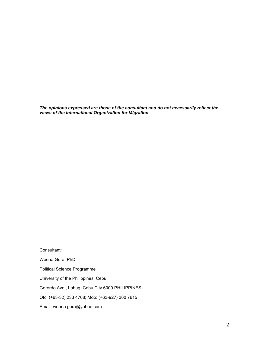*The opinions expressed are those of the consultant and do not necessarily reflect the views of the International Organization for Migration.*

Consultant: Weena Gera, PhD Political Science Programme University of the Philippines, Cebu Gorordo Ave., Lahug, Cebu City 6000 PHILIPPINES Ofc: (+63-32) 233 4708; Mob: (+63-927) 360 7615 Email: weena.gera@yahoo.com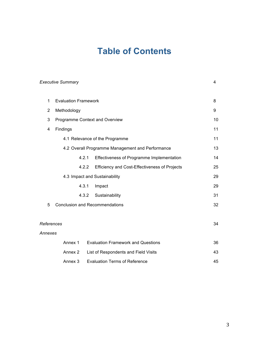# **Table of Contents**

|                | <b>Executive Summary</b>                         |       |                                               | 4  |  |
|----------------|--------------------------------------------------|-------|-----------------------------------------------|----|--|
| $\mathbf 1$    | <b>Evaluation Framework</b>                      | 8     |                                               |    |  |
| $\overline{2}$ | Methodology                                      |       |                                               |    |  |
| 3              | Programme Context and Overview                   | 10    |                                               |    |  |
| 4              | Findings                                         |       |                                               | 11 |  |
|                | 4.1 Relevance of the Programme                   |       |                                               |    |  |
|                | 4.2 Overall Programme Management and Performance | 13    |                                               |    |  |
|                |                                                  | 4.2.1 | Effectiveness of Programme Implementation     | 14 |  |
|                |                                                  | 4.2.2 | Efficiency and Cost-Effectiveness of Projects | 25 |  |
|                | 4.3 Impact and Sustainability                    |       |                                               |    |  |
|                |                                                  | 4.3.1 | Impact                                        | 29 |  |
|                |                                                  | 4.3.2 | Sustainability                                | 31 |  |
| 5              | <b>Conclusion and Recommendations</b>            | 32    |                                               |    |  |
|                |                                                  |       |                                               |    |  |
| References     |                                                  |       |                                               |    |  |
| Annexes        |                                                  |       |                                               |    |  |
|                | Annex 1                                          |       | <b>Evaluation Framework and Questions</b>     | 36 |  |
|                | Annex 2                                          |       | List of Respondents and Field Visits          | 43 |  |
|                | Annex 3                                          |       | <b>Evaluation Terms of Reference</b>          | 45 |  |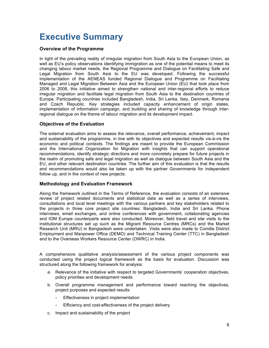# **Executive Summary**

## **Overview of the Programme**

In light of the prevailing reality of irregular migration from South Asia to the European Union, as well as EU's policy observations identifying immigration as one of the potential means to meet its changing labour market needs, the Regional Programme and Dialogue on Facilitating Safe and Legal Migration from South Asia to the EU was developed. Following the successful implementation of the AENEAS funded Regional Dialogue and Programme on Facilitating Managed and Legal Migration Between Asia and the European Union (EU) that took place from 2006 to 2008, this initiative aimed to strengthen national and inter-regional efforts to reduce irregular migration and facilitate legal migration from South Asia to the destination countries of Europe. Participating countries included Bangladesh, India, Sri Lanka, Italy, Denmark, Romania and Czech Republic. Key strategies included capacity enhancement of origin states, implementation of information campaign, and building and sharing of knowledge through interregional dialogue on the theme of labour migration and its development impact.

## **Objectives of the Evaluation**

The external evaluation aims to assess the relevance, overall performance, achievement, impact and sustainability of the programme, in line with its objectives and expected results vis-à-vis the economic and political contexts. The findings are meant to provide the European Commission and the International Organization for Migration with insights that can support operational recommendations, identify strategic directions and more concretely prepare for future projects in the realm of promoting safe and legal migration as well as dialogue between South Asia and the EU, and other relevant destination countries. The further aim of this evaluation is that the results and recommendations would also be taken up with the partner Governments for independent follow up, and in the context of new projects.

# **Methodology and Evaluation Framework**

Along the framework outlined in the Terms of Reference, the evaluation consists of an extensive review of project related documents and statistical data as well as a series of interviews, consultations and local level meetings with the various partners and key stakeholders related to the projects in three core project site countries: Bangladesh, India and Sri Lanka. Phone interviews, email exchanges, and online conferences with government, collaborating agencies and IOM Europe counterparts were also conducted. Moreover, field travel and site visits to the institutional structures set up such as the Migrant Resource Centres (MRCs) and the Market Research Unit (MRU) in Bangladesh were undertaken. Visits were also made to Comilla District Employment and Manpower Office (DEMO) and Technical Training Center (TTC) in Bangladesh and to the Overseas Workers Resource Center (OWRC) in India.

A comprehensive qualitative analysis/assessment of the various project components was conducted using the project logical framework as the basis for evaluation. Discussion was structured along the following framework for analysis:

- a. Relevance of the initiative with respect to targeted Governments' cooperation objectives, policy priorities and development needs
- b. Overall programme management and performance toward reaching the objectives, project purposes and expected results
	- Effectiveness in project implementation
	- Efficiency and cost-effectiveness of the project delivery
- c. Impact and sustainability of the project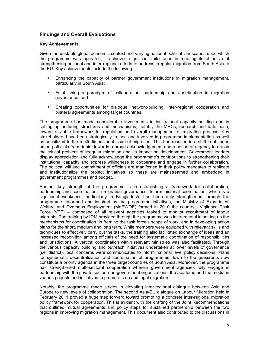## **Findings and Overall Evaluations**

#### **Key Achievements**

Given the unstable global economic context and varying national political landscapes upon which the programme was operated, it achieved significant milestones in meeting its objective of strengthening national and inter-regional efforts to address irregular migration from South Asia to the EU. Key achievements include the following:

- Enhancing the capacity of partner government institutions in migration management, particularly in South Asia;
- Establishing a paradigm of collaboration, partnership and coordination in migration governance; and
- Creating opportunities for dialogue, network-building, inter-regional cooperation and bilateral agreements among target countries.

The programme has made considerable investments in institutional capacity building and in setting up enduring structures and mechanisms, notably the MRCs, research and data base, toward a viable framework for regulation and overall management of migration process. Key stakeholders have been strategically trained and involved in programme implementation as well as sensitized to the multi-dimensional issue of migration. This has resulted in a shift in attitudes among officials from denial towards a broad acknowledgement and a sense of urgency to act on the critical problem of irregular migration and its impact on development. Government leaders display appreciation and fully acknowledge the programme's contributions to strengthening their institutional capacity and express willingness to cooperate and engage in further collaboration. The political will and commitment of officials are manifested in their policy mandates to replicate and institutionalize the project initiatives so these are mainstreamed and embedded in government programmes and budget.

Another key strength of the programme is in establishing a framework for collaboration, partnership and coordination in migration governance. Inter-ministerial coordination, which is a significant weakness, particularly in Bangladesh, has been duly strengthened through the programme. Informed and inspired by the programme initiatives, the Ministry of Expatriates' Welfare and Overseas Employment (MoEWOE) formed in 2010 the country's Vigilance Task Force (VTF) – composed of all relevant agencies tasked to monitor recruitment of labour migrants. The training by IOM provided through the programme was instrumental in setting up the mechanisms for coordination, in framing the task force's scope of work, and in developing action plans for the short, medium and long term. While members were equipped with relevant skills and techniques to effectively carry out the tasks, the training also facilitated exchange of ideas and an increased recognition among officials of the need for systematic coordination of responsibilities and jurisdictions. A vertical coordination within relevant ministries was also facilitated. Through the various capacity building and outreach initiatives undertaken at lower levels of governance (i.e. district), local concerns were communicated to inform national level policy decisions. Plans for systematic decentralization and coordination of programmes down to the grassroots now constitute a priority agenda in the three target countries of South Asia. Moreover, the programme has strengthened multi-sectoral cooperation wherein government agencies fully engage in partnership with the private sector, non-government organizations, the academe and the media in various projects and initiatives to promote safe and legal migration.

Notably, the programme made strides in elevating inter-regional dialogue between Asia and Europe to new levels of collaboration. The second Asia-EU dialogue on Labour Migration held in February 2011 proved a huge step forward toward promoting a concrete inter-regional migration policy framework for cooperation. This is evident with the drafting of the Joint Recommendations that outlined mutual agreements and policy steps for sustained partnership between the two regions in improving migration management. This document also contributed to the discussions in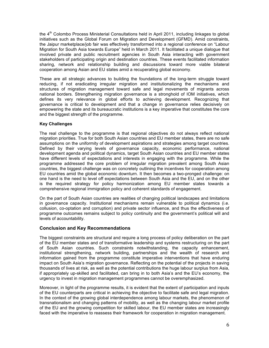the  $4<sup>th</sup>$  Colombo Process Ministerial Consultations held in April 2011, including linkages to global initiatives such as the Global Forum on Migration and Development (GFMD). Amid constraints, the Jaipur marketplace/job fair was effectively transformed into a regional conference on "Labour Migration for South Asia towards Europe" held in March 2011. It facilitated a unique dialogue that involved private and public recruitment agencies in South Asia interacting with government stakeholders of participating origin and destination countries. These events facilitated information sharing, network and relationship building and discussions toward more viable bilateral cooperation among Asian and EU states amid a recuperating global economy.

These are all strategic advances to building the foundations of the long-term struggle toward reducing, if not eradicating irregular migration and institutionalizing the mechanisms and structures of migration management toward safe and legal movements of migrants across national borders. Strengthening migration governance is a stronghold of IOM initiatives, which defines its very relevance in global efforts to achieving development. Recognizing that governance is critical to development and that a change in governance relies decisively on empowering the state and its bureaucratic institutions is a key imperative that constitutes the core and the biggest strength of the programme.

## **Key Challenges**

The real challenge to the programme is that regional objectives do not always reflect national migration priorities. True for both South Asian countries and EU member states, there are no safe assumptions on the uniformity of development aspirations and strategies among target countries. Defined by their varying levels of governance capacity, economic performance, national development agenda and political dynamics, target South Asian countries and EU member states have different levels of expectations and interests in engaging with the programme. While the programme addressed the core problem of irregular migration prevalent among South Asian countries, the biggest challenge was on concretely outlining the incentives for cooperation among EU countries amid the global economic downturn. It then becomes a two-pronged challenge: on one hand is the need to level off expectations between South Asia and the EU, and on the other is the required strategy for policy harmonization among EU member states towards a comprehensive regional immigration policy and coherent standards of engagement.

On the part of South Asian countries are realities of changing political landscapes and limitations in governance capacity. Institutional mechanisms remain vulnerable to political dynamics (i.e. collusion, co-optation and corruption) and private sector influence, and thus the effectiveness of programme outcomes remains subject to policy continuity and the government's political will and levels of accountability.

## **Conclusion and Key Recommendations**

The biggest constraints are structural and require a long process of policy deliberation on the part of the EU member states and of transformative leadership and systems restructuring on the part of South Asian countries. Such constraints notwithstanding, the capacity enhancement, institutional strengthening, network building, partnerships and the wealth of research and information gained from the programme constitute imperative interventions that have enduring impact on South Asia's migration governance. Reflecting on the potential of the projects in saving thousands of lives at risk, as well as the potential contributions the huge labour surplus from Asia, if appropriately up-skilled and facilitated, can bring in to both Asia's and the EU's economy, the urgency to invest in migration management programmes cannot be overemphasized.

Moreover, in light of the programme results, it is evident that the extent of participation and inputs of the EU counterparts are critical in achieving the objective to facilitate safe and legal migration. In the context of the growing global interdependence among labour markets, the phenomenon of transnationalism and changing patterns of mobility, as well as the changing labour market profile of the EU and the growing competition for skilled labour, the EU member states are increasingly faced with the imperative to reassess their framework for cooperation in migration management.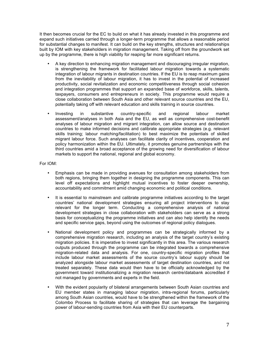It then becomes crucial for the EC to build on what it has already invested in this programme and expand such initiatives carried through a longer-term programme that allows a reasonable period for substantial changes to manifest. It can build on the key strengths, structures and relationships built by IOM with key stakeholders in migration management. Taking off from the groundwork set up by the programme, there is high viability for reaping far more significant returns.

- A key direction to enhancing migration management and discouraging irregular migration, is strengthening the framework for facilitated labour migration towards a systematic integration of labour migrants in destination countries. If the EU is to reap maximum gains from the inevitability of labour migration, it has to invest in the potential of increased productivity, social revitalization and economic competitiveness through social cohesion and integration programmes that support an expanded base of workforce, skills, talents, taxpayers, consumers and entrepreneurs in society. This programme would require a close collaboration between South Asia and other relevant source countries and the EU, potentially taking off with relevant education and skills training in source countries.
- Investing in substantive country-specific and regional labour market assessment/analyses in both Asia and the EU, as well as comprehensive cost-benefit analyses of labour migration and migrant integration, can allow source and destination countries to make informed decisions and calibrate appropriate strategies (e.g. relevant skills training; labour matching/facilitation) to best maximize the potentials of skilled migrant labour force. Such analyses can facilitate clarity of incentives, cooperation and policy harmonization within the EU. Ultimately, it promotes genuine partnerships with the third countries amid a broad acceptance of the growing need for diversification of labour markets to support the national, regional and global economy.

#### For IOM:

- Emphasis can be made in providing avenues for consultation among stakeholders from both regions, bringing them together in designing the programme components. This can level off expectations and highlight mutual incentives to foster deeper ownership, accountability and commitment amid changing economic and political conditions.
- It is essential to mainstream and calibrate programme initiatives according to the target countries' national development strategies ensuring all project interventions to stay relevant for the longer term. Conducting a comprehensive analysis of national development strategies in close collaboration with stakeholders can serve as a strong basis for conceptualizing the programme initiatives and can also help identify the needs and specific service gaps, beyond using the outcomes of regional policy dialogues.
- National development policy and programmes can be strategically informed by a comprehensive migration research, including an analysis of the target country's existing migration policies. It is imperative to invest significantly in this area. The various research outputs produced through the programme can be integrated towards a comprehensive migration-related data and analysis. For one, country-specific migration profiles that include labour market assessments of the source country's labour supply should be analyzed alongside labour market assessments of target destination countries, and not treated separately. These data would then have to be officially acknowledged by the government toward institutionalizing a migration research centre/databank accredited if not managed by governments and experts in the field.
- With the evident popularity of bilateral arrangements between South Asian countries and EU member states in managing labour migration, intra-regional forums, particularly among South Asian countries, would have to be strengthened within the framework of the Colombo Process to facilitate sharing of strategies that can leverage the bargaining power of labour-sending countries from Asia with their EU counterparts.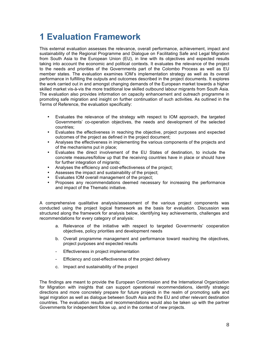# **1 Evaluation Framework**

This external evaluation assesses the relevance, overall performance, achievement, impact and sustainability of the Regional Programme and Dialogue on Facilitating Safe and Legal Migration from South Asia to the European Union (EU), in line with its objectives and expected results taking into account the economic and political contexts. It evaluates the relevance of the project to the needs and priorities of the Governments part of the Colombo Process as well as EU member states. The evaluation examines IOM's implementation strategy as well as its overall performance in fulfilling the outputs and outcomes described in the project documents. It explores the work carried out in and amongst changing demands of the European market towards a higher skilled market vis-à-vis the more traditional low skilled outbound labour migrants from South Asia. The evaluation also provides information on capacity enhancement and outreach programme in promoting safe migration and insight on further continuation of such activities. As outlined in the Terms of Reference, the evaluation specifically:

- Evaluates the relevance of the strategy with respect to IOM approach, the targeted Governments' co-operation objectives, the needs and development of the selected countries;
- Evaluates the effectiveness in reaching the objective, project purposes and expected outcomes of the project as defined in the project document;
- Analyses the effectiveness in implementing the various components of the projects and of the mechanisms put in place;
- Evaluates the direct involvement of the EU States of destination, to include the concrete measures/follow up that the receiving countries have in place or should have for further integration of migrants;
- Analyses the efficiency and cost-effectiveness of the project;
- Assesses the impact and sustainability of the project;
- Evaluates IOM overall management of the project;
- Proposes any recommendations deemed necessary for increasing the performance and impact of the Thematic initiative.

A comprehensive qualitative analysis/assessment of the various project components was conducted using the project logical framework as the basis for evaluation. Discussion was structured along the framework for analysis below, identifying key achievements, challenges and recommendations for every category of analysis:

- a. Relevance of the initiative with respect to targeted Governments' cooperation objectives, policy priorities and development needs
- b. Overall programme management and performance toward reaching the objectives, project purposes and expected results
- Effectiveness in project implementation
- Efficiency and cost-effectiveness of the project delivery
- c. Impact and sustainability of the project

The findings are meant to provide the European Commission and the International Organization for Migration with insights that can support operational recommendations, identify strategic directions and more concretely prepare for future projects in the realm of promoting safe and legal migration as well as dialogue between South Asia and the EU and other relevant destination countries. The evaluation results and recommendations would also be taken up with the partner Governments for independent follow up, and in the context of new projects.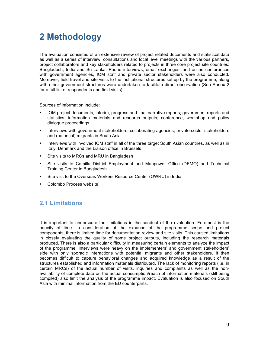# **2 Methodology**

The evaluation consisted of an extensive review of project related documents and statistical data as well as a series of interview, consultations and local level meetings with the various partners, project collaborators and key stakeholders related to projects in three core project site countries: Bangladesh, India and Sri Lanka. Phone interviews, email exchanges, and online conferences with government agencies, IOM staff and private sector stakeholders were also conducted. Moreover, field travel and site visits to the institutional structures set up by the programme, along with other government structures were undertaken to facilitate direct observation (See Annex 2 for a full list of respondents and field visits).

Sources of information include:

- IOM project documents, interim, progress and final narrative reports; government reports and statistics; information materials and research outputs; conference, workshop and policy dialogue proceedings
- Interviews with government stakeholders, collaborating agencies, private sector stakeholders and (potential) migrants in South Asia
- Interviews with involved IOM staff in all of the three target South Asian countries, as well as in Italy, Denmark and the Liaison office in Brussels
- Site visits to MRCs and MRU in Bangladesh
- Site visits to Comilla District Employment and Manpower Office (DEMO) and Technical Training Center in Bangladesh
- Site visit to the Overseas Workers Resource Center (OWRC) in India
- Colombo Process website

# **2.1 Limitations**

It is important to underscore the limitations in the conduct of the evaluation. Foremost is the paucity of time. In consideration of the expanse of the programme scope and project components, there is limited time for documentation review and site visits. This caused limitations in closely evaluating the quality of some project outputs, including the research materials produced. There is also a particular difficulty in measuring certain elements to analyze the impact of the programme. Interviews were heavy on the implementers' and government stakeholders' side with only sporadic interactions with potential migrants and other stakeholders. It then becomes difficult to capture behavioral changes and acquired knowledge as a result of the structures established and information materials distributed. The lack of monitoring reports (i.e. in certain MRCs) of the actual number of visits, inquiries and complaints as well as the nonavailability of complete data on the actual consumption/reach of information materials (still being compiled) also limit the analysis of the programme impact. Evaluation is also focused on South Asia with minimal information from the EU counterparts.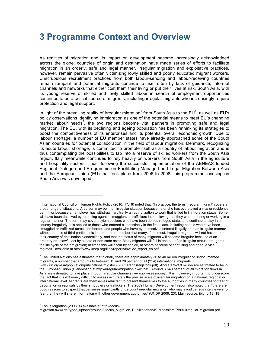# **3 Programme Context and Overview**

As realities of migration and its impact on development become increasingly acknowledged across the globe, countries of origin and destination have made series of efforts to facilitate migration in an orderly, safe and legal manner. Irregular migration and exploitative practices, however, remain pervasive often victimizing lowly skilled and poorly educated migrant workers. Unscrupulous recruitment practices from both labour-sending and labour-receiving countries remain rampant and potential migrants continue to use, often by lack of guidance, informal channels and networks that either cost them their living or put their lives at risk. South Asia, with its young reserve of skilled and lowly skilled labour in search of employment opportunities continues to be a critical source of migrants, including irregular migrants who increasingly require protection and legal support.

In light of the prevailing reality of irregular migration<sup>1</sup> from South Asia to the EU<sup>2</sup>, as well as EU's policy observations identifying immigration as one of the potential means to meet EU's changing market labour needs<sup>3</sup>, the two regions become vital partners in promoting safe and legal migration. The EU, with its declining and ageing population has been rethinking its strategies to boost the competitiveness of its enterprises and its potential overall economic growth. Due to labour shortage, a number of EU member states have already approached some of the South Asian countries for potential collaboration in the field of labour migration. Denmark, recognizing its acute labour shortage, is committed to promote itself as a country of labour migration and is thus contemplating the possibilities to tap into a reserve of skilled workers from the South Asia region. Italy meanwhile continues to rely heavily on workers from South Asia in the agriculture and hospitality sectors. Thus, following the successful implementation of the AENEAS funded Regional Dialogue and Programme on Facilitating Managed and Legal Migration Between Asia and the European Union (EU) that took place from 2006 to 2008, this programme focusing on South Asia was developed.

 $3$  Focus Migration (2008: 4) available at http://focusmigration.hwwi.de/typo3\_upload/groups/3/focus\_Migration\_Publikationen/Kurzdossiers/PB09-Irregular-Migration.pdf

<sup>1</sup> International Council on Human Rights Policy (2010: 17,18) noted that, "In practice, the term 'irregular migrant' covers a broad range of situations. A person may be in an irregular situation because he or she has overstayed a visa or residence permit, or because an employer has withdrawn arbitrarily an authorization to work that is tied to immigration status. Some will have been deceived by recruiting agents, smugglers or traffickers into believing that they were entering or working in a regular manner. The term may cover asylum seekers who have been denied refugee status and continue to stay in a country irregularly. It is applied to those who entered clandestinely in the first place, including people who have been smuggled or trafficked across the border, and people who have by themselves entered illegally or in an irregular manner without the use of third parties. It is important to remember that many, if not most, irregular migrants will not have entered their country of destination clandestinely, and that the status of many migrants will become irregular because of an arbitrary or unlawful act by a state or non-state actor. Many migrants will fall in and out of an irregular status throughout the life cycle of their migration; at times this will occur by choice, at others because of confusing and opaque visa regimes." available at http://www.ichrp.org/files/reports/56/122\_report\_en.pdf

 $2$  The United Nations has estimated that globally there are approximately 30 to 40 million irregular or undocumented migrants, a number that amounts to between 15 and 20 percent of all (214) international migrants (www.un.org/esa/population/publications/migstock/2003TrendsMigstock.pdf). About 1.9–3.8 million are estimated to be in the European Union (Clandestino at http://irregular-migration.hwwi.net). Around 30-40 percent of all migration flows in Asia are estimated to take place through irregular channels (www.iom-seasia.org). It is, however, important to underscore the fact that it is extremely difficult to assess accurately the precise scale of irregular migration on a national, regional or international level. Migrants are themselves reluctant to present themselves to the authorities in many countries for fear of deportation or reprisals by their smugglers or traffickers. The 2009 Human Development report also noted that "there are good reasons to suspect that censuses significantly undercount irregular migrants, who may avoid census interviewers for fear that they will share information with other government authorities" (UNDP 2009: 23), Main source: ibid, p.13, 18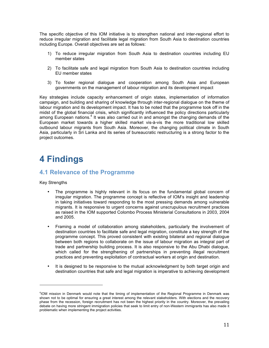The specific objective of this IOM initiative is to strengthen national and inter-regional effort to reduce irregular migration and facilitate legal migration from South Asia to destination countries including Europe. Overall objectives are set as follows:

- 1) To reduce irregular migration from South Asia to destination countries including EU member states
- 2) To facilitate safe and legal migration from South Asia to destination countries including EU member states
- 3) To foster regional dialogue and cooperation among South Asia and European governments on the management of labour migration and its development impact

Key strategies include capacity enhancement of origin states, implementation of information campaign, and building and sharing of knowledge through inter-regional dialogue on the theme of labour migration and its development impact. It has to be noted that the programme took off in the midst of the global financial crisis, which significantly influenced the policy directions particularly among European nations.<sup>4</sup> It was also carried out in and amongst the changing demands of the European market towards a higher skilled market vis-à-vis the more traditional low skilled outbound labour migrants from South Asia. Moreover, the changing political climate in South Asia, particularly in Sri Lanka and its series of bureaucratic restructuring is a strong factor to the project outcomes.

# **4 Findings**

# **4.1 Relevance of the Programme**

Key Strengths

- The programme is highly relevant in its focus on the fundamental global concern of irregular migration. The programme concept is reflective of IOM's insight and leadership in taking initiatives toward responding to the most pressing demands among vulnerable migrants. It is responsive to urgent concerns against unscrupulous recruitment practices as raised in the IOM supported Colombo Process Ministerial Consultations in 2003, 2004 and 2005.
- Framing a model of collaboration among stakeholders, particularly the involvement of destination countries to facilitate safe and legal migration, constitute a key strength of the programme concept. This proved consistent with existing bilateral and regional dialogue between both regions to collaborate on the issue of labour migration as integral part of trade and partnership building process. It is also responsive to the Abu Dhabi dialogue, which called for the strengthening of partnerships in preventing illegal recruitment practices and preventing exploitation of contractual workers at origin and destination.
- It is designed to be responsive to the mutual acknowledgment by both target origin and destination countries that safe and legal migration is imperative to achieving development

<sup>4</sup> IOM mission in Denmark would note that the timing of implementation of the Regional Programme in Denmark was shown not to be optimal for ensuring a great interest among the relevant stakeholders. With elections and the recovery phase from the recession, foreign recruitment has not been the highest priority in the country. Moreover, the prevailing debate on having more stringent immigration policies that seek to limit entry of non-Western immigrants has also made it problematic when implementing the project activities.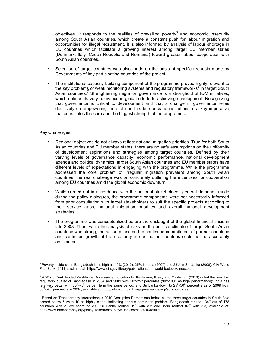objectives. It responds to the realities of prevailing poverty<sup>5</sup> and economic insecurity among South Asian countries, which create a constant push for labour migration and opportunities for illegal recruitment. It is also informed by analysis of labour shortage in EU countries which facilitate a growing interest among target EU member states (Denmark, Italy, Czech Republic and Romania) toward greater labour cooperation with South Asian countries.

- Selection of target countries was also made on the basis of specific requests made by Governments of key participating countries of the project.
- The institutional capacity building component of the programme proved highly relevant to the key problems of weak monitoring systems and regulatory frameworks $^6$  in target South Asian countries.<sup>7</sup> Strengthening migration governance is a stronghold of IOM initiatives, which defines its very relevance in global efforts to achieving development. Recognizing that governance is critical to development and that a change in governance relies decisively on empowering the state and its bureaucratic institutions is a key imperative that constitutes the core and the biggest strength of the programme.

#### Key Challenges

- Regional objectives do not always reflect national migration priorities. True for both South Asian countries and EU member states, there are no safe assumptions on the uniformity of development aspirations and strategies among target countries. Defined by their varying levels of governance capacity, economic performance, national development agenda and political dynamics, target South Asian countries and EU member states have different levels of expectations in engaging with the programme. While the programme addressed the core problem of irregular migration prevalent among South Asian countries, the real challenge was on concretely outlining the incentives for cooperation among EU countries amid the global economic downturn.
- While carried out in accordance with the national stakeholders' general demands made during the policy dialogues, the programme components were not necessarily informed from prior consultation with target stakeholders to suit the specific projects according to their service gaps, national migration priorities and overall national development strategies.
- The programme was conceptualized before the onslaught of the global financial crisis in late 2008. Thus, while the analysis of risks on the political climate of target South Asian countries was strong, the assumptions on the continued commitment of partner countries and continued growth of the economy in destination countries could not be accurately anticipated.

 $^5$  Poverty incidence in Bangladesh is as high as 40% (2010); 25% in India (2007) and 23% in Sri Lanka (2008), CIA World Fact Book (2011) available at: https://www.cia.gov/library/publications/the-world-factbook/index.html

<sup>&</sup>lt;sup>6</sup> A World Bank funded Worldwide Governance Indicators by Kaufmann, Kraay and Mastruzzi (2010) noted the very low regulatory quality of Bangladesh in 2004 and 2009 with 10<sup>th</sup>-25<sup>th</sup> percentile (90<sup>th</sup>-100<sup>th</sup> as high performance); India has relatively better with 50<sup>th</sup>-70<sup>th</sup> percentile in the same period; and Sri Lanka down to 25<sup>th</sup>-50<sup>th</sup> percentile as of 2009 from 50<sup>th</sup>-70<sup>th</sup> percentile in 2004, available at: http://info.worldbank.org/governance/wgi/sc\_country.asp

<sup>&</sup>lt;sup>7</sup> Based on Transparency International's 2010 Corruption Perceptions Index, all the three target countries in South Asia scored below 5 (with 10 as highly clean) indicating serious corruption problem. Bangladesh ranked 134<sup>th</sup> out of 178 countries with a low score of 2.4; Sri Lanka ranked 91<sup>st</sup> with 3.2 and India ranked 87<sup>th</sup> with 3.3, available at: http://www.transparency.org/policy\_research/surveys\_indices/cpi/2010/results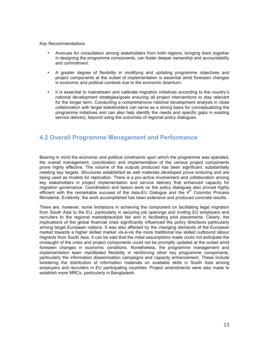#### Key Recommendations

- Avenues for consultation among stakeholders from both regions, bringing them together in designing the programme components, can foster deeper ownership and accountability and commitment.
- A greater degree of flexibility in modifying and updating programme objectives and project components at the outset of implementation is essential amid foreseen changes in economic and political contexts due to the economic downturn.
- It is essential to mainstream and calibrate migration initiatives according to the country's national development strategies/goals ensuring all project interventions to stay relevant for the longer term. Conducting a comprehensive national development analysis in close collaboration with target stakeholders can serve as a strong basis for conceptualizing the programme initiatives and can also help identify the needs and specific gaps in existing service delivery, beyond using the outcomes of regional policy dialogues.

# **4.2 Overall Programme Management and Performance**

Bearing in mind the economic and political constraints upon which the programme was operated, the overall management, coordination and implementation of the various project components prove highly effective. The volume of the outputs produced has been significant, substantially meeting key targets. Structures established as well materials developed prove enduring and are being used as models for replication. There is a pro-active involvement and collaboration among key stakeholders in project implementation and service delivery that enhanced capacity for migration governance. Coordination and liaison work on the policy dialogues also proved highly efficient with the remarkable success of the Asia-EU Dialogue and the  $4<sup>th</sup>$  Colombo Process Ministerial. Evidently, the work accomplished has been extensive and produced concrete results.

There are, however, some limitations in achieving the component on facilitating legal migration from South Asia to the EU, particularly in securing job openings and inviting EU employers and recruiters to the regional marketplace/job fair and in facilitating pilot placements. Clearly, the implications of the global financial crisis significantly influenced the policy directions particularly among target European nations. It was also affected by the changing demands of the European market towards a higher skilled market vis-à-vis the more traditional low skilled outbound labour migrants from South Asia. It can be said that the initial assumptions made could not anticipate the onslaught of the crisis and project components could not be promptly updated at the outset amid foreseen changes in economic conditions. Nonetheless, the programme management and implementation team manifested flexibility in reinforcing other key programme components, particularly the information dissemination campaigns and capacity enhancement. These include bolstering the distribution of information materials on available skills in South Asia among employers and recruiters in EU participating countries. Project amendments were also made to establish more MRCs, particularly in Bangladesh.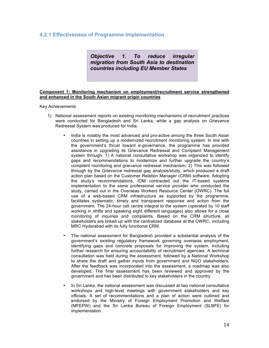# **4.2.1 Effectiveness of Programme Implementation**

*Objective 1. To reduce irregular migration from South Asia to destination countries including EU Member States*

#### **Component 1: Monitoring mechanism on employment/recruitment service strengthened and enhanced in the South Asian migrant origin countries**

Key Achievements

- 1) National assessment reports on existing monitoring mechanisms of recruitment practices were conducted for Bangladesh and Sri Lanka, while a gap analysis on Grievance Redressal System was produced for India.
	- India is notably the most advanced and pro-active among the three South Asian countries in setting up a modernized recruitment monitoring system. In line with the government's thrust toward e-governance, the programme has provided assistance in upgrading its Grievance Redressal and Complaint Management system through: 1) A national consultative workshop was organized to identify gaps and recommendations to modernize and further upgrade the country's complaint monitoring and grievance redressal mechanism; 2) This was followed through by the Grievance redressal gap analysis/study, which produced a draft action plan based on the Customer Relation Manager (CRM) software. Adopting the study's recommendations, IOM contracted out the IT-based systems implementation to the same professional service provider who conducted the study, carried out in the Overseas Workers Resource Center (OWRC). The full use of a web-based CRM infrastructure as supported by the programme, facilitates systematic, timely and transparent response and action from the government. The 24-hour call centre integral to the system (operated by 10 staff working in shifts and speaking eight different languages) also allows for a close monitoring of inquiries and complaints. Based on the CRM structure, all stakeholders are linked up with the centralized database at the OWRC, including MRC Hyderabad with its fully functional CRM.
	- The national assessment for Bangladesh provided a substantial analysis of the government's existing regulatory framework governing overseas employment, identifying gaps and concrete proposals for improving the system, including further research for ensuring accountability of recruitment agencies. A technical consultation was held during the assessment, followed by a National Workshop to share the draft and gather inputs from government and NGO stakeholders. After the feedback was incorporated into the assessment, a roadmap was also developed. The final assessment has been reviewed and approved by the government and has been distributed to key stakeholders in the country.
	- In Sri Lanka, the national assessment was discussed at two national consultative workshops and high-level meetings with government stakeholders and key officials. A set of recommendations and a plan of action were outlined and endorsed by the Ministry of Foreign Employment Promotion and Welfare (MFEPW) and the Sri Lanka Bureau of Foreign Employment (SLBFE) for implementation.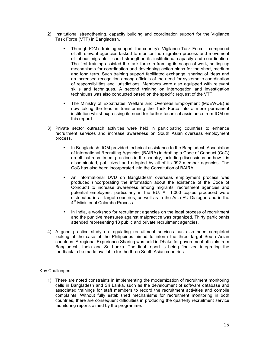- 2) Institutional strengthening, capacity building and coordination support for the Vigilance Task Force (VTF) in Bangladesh.
	- Through IOM's training support, the country's Vigilance Task Force composed of all relevant agencies tasked to monitor the migration process and movement of labour migrants - could strengthen its institutional capacity and coordination. The first training assisted the task force in framing its scope of work, setting up mechanisms for coordination and developing action plans for the short, medium and long term. Such training support facilitated exchange, sharing of ideas and an increased recognition among officials of the need for systematic coordination of responsibilities and jurisdictions. Members were also equipped with relevant skills and techniques. A second training on interrogation and investigation techniques was also conducted based on the specific request of the VTF.
	- The Ministry of Expatriates' Welfare and Overseas Employment (MoEWOE) is now taking the lead in transforming the Task Force into a more permanent institution whilst expressing its need for further technical assistance from IOM on this regard.
- 3) Private sector outreach activities were held in participating countries to enhance recruitment services and increase awareness on South Asian overseas employment process.
	- In Bangladesh, IOM provided technical assistance to the Bangladesh Association of International Recruiting Agencies (BAIRA) in drafting a Code of Conduct (CoC) on ethical recruitment practices in the country, including discussions on how it is disseminated, publicized and adopted by all of its 992 member agencies. The CoC has also been incorporated into the Constitution of BAIRA.
	- An informational DVD on Bangladesh' overseas employment process was produced (incorporating the information about the existence of the Code of Conduct) to increase awareness among migrants, recruitment agencies and potential employers, particularly in the EU. All 1,000 copies produced were distributed in all target countries, as well as in the Asia-EU Dialogue and in the 4<sup>th</sup> Ministerial Colombo Process.
	- In India, a workshop for recruitment agencies on the legal process of recruitment and the punitive measures against malpractice was organized. Thirty participants attended representing 18 public and private recruitment agencies.
- 4) A good practice study on regulating recruitment services has also been completed looking at the case of the Philippines aimed to inform the three target South Asian countries. A regional Experience Sharing was held in Dhaka for government officials from Bangladesh, India and Sri Lanka. The final report is being finalized integrating the feedback to be made available for the three South Asian countries.

## Key Challenges

1) There are noted constraints in implementing the modernization of recruitment monitoring cells in Bangladesh and Sri Lanka, such as the development of software database and associated trainings for staff members to record the recruitment activities and compile complaints. Without fully established mechanisms for recruitment monitoring in both countries, there are consequent difficulties in producing the quarterly recruitment service monitoring reports aimed by the programme.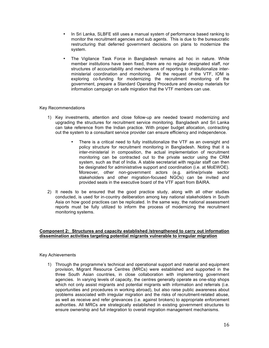- In Sri Lanka, SLBFE still uses a manual system of performance based ranking to monitor the recruitment agencies and sub agents. This is due to the bureaucratic restructuring that deferred government decisions on plans to modernize the system.
- The Vigilance Task Force in Bangladesh remains ad hoc in nature. While member institutions have been fixed, there are no regular designated staff, nor structures of accountability and mechanisms of reporting to institutionalize interministerial coordination and monitoring. At the request of the VTF, IOM is exploring co-funding for modernizing the recruitment monitoring of the government, prepare a Standard Operating Procedure and develop materials for information campaign on safe migration that the VTF members can use.

#### Key Recommendations

- 1) Key investments, attention and close follow-up are needed toward modernizing and upgrading the structures for recruitment service monitoring. Bangladesh and Sri Lanka can take reference from the Indian practice. With proper budget allocation, contracting out the system to a consultant service provider can ensure efficiency and independence.
	- There is a critical need to fully institutionalize the VTF as an oversight and policy structure for recruitment monitoring in Bangladesh. Noting that it is inter-ministerial in composition, the actual implementation of recruitment monitoring can be contracted out to the private sector using the CRM system, such as that of India. A stable secretariat with regular staff can then be designated for administrative support and coordination (i.e. at MoEWOE). Moreover, other non-government actors (e.g. airline/private sector stakeholders and other migration-focused NGOs) can be invited and provided seats in the executive board of the VTF apart from BAIRA.
- 2) It needs to be ensured that the good practice study, along with all other studies conducted, is used for in-country deliberation among key national stakeholders in South Asia on how good practices can be replicated. In the same way, the national assessment reports must be fully utilized to inform the process of modernizing the recruitment monitoring systems.

#### **Component 2: Structures and capacity established /strengthened to carry out information dissemination activities targeting potential migrants vulnerable to irregular migration**

#### Key Achievements

1) Through the programme's technical and operational support and material and equipment provision, Migrant Resource Centres (MRCs) were established and supported in the three South Asian countries, in close collaboration with implementing government agencies. In varying levels of capacity, the centres generally operate as one-stop shops which not only assist migrants and potential migrants with information and referrals (i.e. opportunities and procedures in working abroad), but also raise public awareness about problems associated with irregular migration and the risks of recruitment-related abuse, as well as receive and refer grievances (i.e. against brokers) to appropriate enforcement authorities. All MRCs are strategically established in existing government structures to ensure ownership and full integration to overall migration management mechanisms.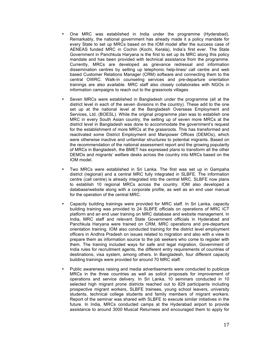- One MRC was established in India under the programme (Hyderabad). Remarkably, the national government has already made it a policy mandate for every State to set up MRCs based on the IOM model after the success case of AENEAS funded MRC in Cochin (Kochi, Kerala), India's first ever. The State Government in Panchkula Haryana is the first to set up its MRC along this policy mandate and has been provided with technical assistance from the programme. Currently, MRCs are developed as grievance redressal and information dissemination centres by setting up telephonic help-lines/ call centre and web based Customer Relations Manager (CRM) software and connecting them to the central OWRC. Walk-in counseling services and pre-departure orientation trainings are also available. MRC staff also closely collaborates with NGOs in information campaigns to reach out to the grassroots villages.
- Seven MRCs were established in Bangladesh under the programme (all at the district level in each of the seven divisions in the country). These add to the one set up at the national level at the Bangladesh Overseas Employment and Services, Ltd. (BOESL). While the original programme plan was to establish one MRC in every South Asian country, the setting up of seven more MRCs at the district level in Bangladesh was done to accommodate the government's request for the establishment of more MRCs at the grassroots. This has transformed and reactivated some District Employment and Manpower Offices (DEMOs), which were otherwise inactive and unfamiliar structures to potential migrants. Based on the recommendation of the national assessment report and the growing popularity of MRCs in Bangladesh, the BMET has expressed plans to transform all the other DEMOs and migrants' welfare desks across the country into MRCs based on the IOM model.
- Two MRCs were established in Sri Lanka. The first was set up in Gampaha district (regional) and a central MRC fully integrated in SLBFE. The information centre (call centre) is already integrated into the central MRC. SLBFE now plans to establish 10 regional MRCs across the country. IOM also developed a database/website along with a corporate profile, as well as an end user manual for the operation of the central MRC.
- Capacity building trainings were provided for MRC staff. In Sri Lanka, capacity building training was provided to 24 SLBFE officials on operations of MRC ICT platform and an end user training on MRC database and website management. In India, MRC staff and relevant State Government officials in Hyderabad and Panchkula Haryana were trained on CRM, MRC operations and pre-departure orientation training. IOM also conducted training for the district level employment officers in Andhra Pradesh on issues related to migration and also with a view to prepare them as information source to the job seekers who come to register with them. The training included ways for safe and legal migration, Government of India rules for recruitment agents, the different entry requirements of countries of destinations, visa system, among others. In Bangladesh, four different capacity building trainings were provided for around 70 MRC staff.
- Public awareness raising and media advertisements were conducted to publicize MRCs in the three countries as well as solicit proposals for improvement of operations and service delivery. In Sri Lanka, 10 seminars conducted in 10 selected high migrant prone districts reached out to 829 participants including prospective migrant workers, SLBFE trainees, young school leavers, university students, technical college students and family members of migrant workers. Report of the seminar was shared with SLBFE to execute similar initiatives in the future. In India, MRCs conducted camps at the Hyderabad airport to provide assistance to around 3000 Muscat Returnees and encouraged them to apply for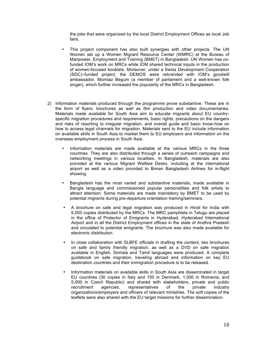the jobs that were organized by the local District Employment Offices as local Job fairs.

- This project component has also built synergies with other projects. The UN Women set up a Women Migrant Resource Center (WMRC) at the Bureau of Manpower, Employment and Training (BMET) in Bangladesh. UN Women has cofunded IOM's work on MRCs while IOM shared technical inputs in the production of women-focused booklets. Moreover, under a Swiss Development Cooperation (SDC)–funded project, the DEMOS were rebranded with IOM's goodwill ambassador, Momtaz Begum (a member of parliament and a well-known folk singer), which further increased the popularity of the MRCs in Bangladesh.
- 2) Information materials produced through the programme prove substantive. These are in the form of flyers, brochures as well as film production and video documentaries. Materials made available for South Asia aim to educate migrants about EU countryspecific migration procedures and requirements, basic rights, precautions on the dangers and risks of resorting to irregular migration, and overall guide and basic know-how on how to access legal channels for migration. Materials sent to the EU include information on available skills in South Asia to market them to EU employers and information on the overseas employment process in South Asia.
	- Information materials are made available at the various MRCs in the three countries. They are also distributed through a series of outreach campaigns and networking meetings in various localities. In Bangladesh, materials are also provided at the various Migrant Welfare Desks, including at the international airport as well as a video provided to Biman Bangladesh Airlines for in-flight showing.
	- Bangladesh has the most varied and substantive materials, made available in Bangla language and commissioned popular personalities and folk artists to attract attention. Some materials are made mandatory by BMET to be used by potential migrants during pre-departure orientation training/seminars.
	- A brochure on safe and legal migration was produced in Hindi for India with 5,000 copies distributed by the MRCs. The MRC pamphlets in Telugu are placed in the office of Protector of Emigrants in Hyderabad, Hyderabad International Airport and in all the District Employment offices in the state of Andhra Pradesh and circulated to potential emigrants. The brochure was also made available for electronic distribution.
	- In close collaboration with SLBFE officials in drafting the content, two brochures on safe and family friendly migration, as well as a DVD on safe migration available in English, Sinhala and Tamil languages were produced. A complete guidebook on safe migration, traveling abroad and information on key EU destination countries and their immigration procedure is to be released.
	- Information materials on available skills in South Asia are disseminated in target EU countries (30 copies in Italy and 150 in Denmark, 1,000 in Romania, and 5,000 in Czech Republic) and shared with stakeholders, private and public recruitment agencies, representatives of the private industry organizations/employers and officers of relevant ministries. The soft copies of the leaflets were also shared with the EU target missions for further dissemination.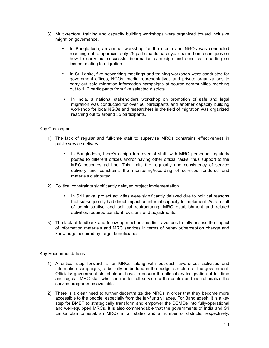- 3) Multi-sectoral training and capacity building workshops were organized toward inclusive migration governance.
	- In Bangladesh, an annual workshop for the media and NGOs was conducted reaching out to approximately 25 participants each year trained on techniques on how to carry out successful information campaign and sensitive reporting on issues relating to migration.
	- In Sri Lanka, five networking meetings and training workshop were conducted for government offices, NGOs, media representatives and private organizations to carry out safe migration information campaigns at source communities reaching out to 112 participants from five selected districts.
	- In India, a national stakeholders workshop on promotion of safe and legal migration was conducted for over 60 participants and another capacity building workshop for local NGOs and researchers in the field of migration was organized reaching out to around 35 participants.

## Key Challenges

- 1) The lack of regular and full-time staff to supervise MRCs constrains effectiveness in public service delivery.
	- In Bangladesh, there's a high turn-over of staff, with MRC personnel regularly posted to different offices and/or having other official tasks, thus support to the MRC becomes ad hoc. This limits the regularity and consistency of service delivery and constrains the monitoring/recording of services rendered and materials distributed.
- 2) Political constraints significantly delayed project implementation.
	- In Sri Lanka, project activities were significantly delayed due to political reasons that subsequently had direct impact on internal capacity to implement. As a result of administrative and political restructuring, MRC establishment and related activities required constant revisions and adjustments.
- 3) The lack of feedback and follow-up mechanisms limit avenues to fully assess the impact of information materials and MRC services in terms of behavior/perception change and knowledge acquired by target beneficiaries.

#### Key Recommendations

- 1) A critical step forward is for MRCs, along with outreach awareness activities and information campaigns, to be fully embedded in the budget structure of the government. Officials/ government stakeholders have to ensure the allocation/designation of full-time and regular MRC staff who can render full service to the centre and institutionalize the service programmes available.
- 2) There is a clear need to further decentralize the MRCs in order that they become more accessible to the people, especially from the far-flung villages. For Bangladesh, it is a key step for BMET to strategically transform and empower the DEMOs into fully-operational and well-equipped MRCs. It is also commendable that the governments of India and Sri Lanka plan to establish MRCs in all states and a number of districts, respectively.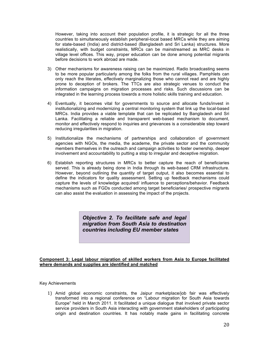However, taking into account their population profile, it is strategic for all the three countries to simultaneously establish peripheral-local based MRCs while they are aiming for state-based (India) and district-based (Bangladesh and Sri Lanka) structures. More realistically, with budget constraints, MRCs can be mainstreamed as MRC desks in village level offices. This way, proper education can be done among potential migrants before decisions to work abroad are made.

- 3) Other mechanisms for awareness raising can be maximized. Radio broadcasting seems to be more popular particularly among the folks from the rural villages. Pamphlets can only reach the literates, effectively marginalizing those who cannot read and are highly prone to deception of brokers. The TTCs are also strategic venues to conduct the information campaigns on migration processes and risks. Such discussions can be integrated in the learning process towards a more holistic skills training and education.
- 4) Eventually, it becomes vital for governments to source and allocate funds/invest in institutionalizing and modernizing a central monitoring system that link up the local-based MRCs. India provides a viable template that can be replicated by Bangladesh and Sri Lanka. Facilitating a reliable and transparent web-based mechanism to document, monitor and effectively respond to inquiries and grievances is a considerable step toward reducing irregularities in migration.
- 5) Institutionalize the mechanisms of partnerships and collaboration of government agencies with NGOs, the media, the academe, the private sector and the community members themselves in the outreach and campaign activities to foster ownership, deeper involvement and accountability to putting a stop to irregular and deceptive migration.
- 6) Establish reporting structures in MRCs to better capture the reach of beneficiaries served. This is already being done in India through its web-based CRM infrastructure. However, beyond outlining the quantity of target output, it also becomes essential to define the indicators for quality assessment. Setting up feedback mechanisms could capture the levels of knowledge acquired/ influence to perceptions/behavior. Feedback mechanisms such as FGDs conducted among target beneficiaries/ prospective migrants can also assist the evaluation in assessing the impact of the projects.

*Objective 2. To facilitate safe and legal migration from South Asia to destination countries including EU member states*

#### **Component 3: Legal labour migration of skilled workers from Asia to Europe facilitated where demands and supplies are identified and matched**

#### Key Achievements

1) Amid global economic constraints, the Jaipur marketplace/job fair was effectively transformed into a regional conference on "Labour migration for South Asia towards Europe" held in March 2011. It facilitated a unique dialogue that involved private sector service providers in South Asia interacting with government stakeholders of participating origin and destination countries. It has notably made gains in facilitating concrete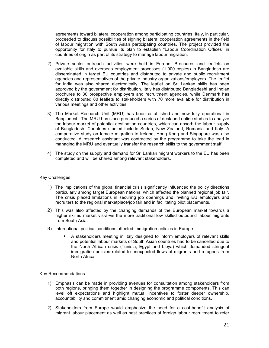agreements toward bilateral cooperation among participating countries. Italy, in particular, proceeded to discuss possibilities of signing bilateral cooperation agreements in the field of labour migration with South Asian participating countries. The project provided the opportunity for Italy to pursue its plan to establish "Labour Coordination Offices" in countries of origin as part of its strategy to manage labour migration.

- 2) Private sector outreach activities were held in Europe. Brochures and leaflets on available skills and overseas employment processes (1,000 copies) in Bangladesh are disseminated in target EU countries and distributed to private and public recruitment agencies and representatives of the private industry organizations/employers. The leaflet for India was also shared electronically. The leaflet on Sri Lankan skills has been approved by the government for distribution. Italy has distributed Bangladeshi and Indian brochures to 30 prospective employers and recruitment agencies, while Denmark has directly distributed 80 leaflets to stakeholders with 70 more available for distribution in various meetings and other activities.
- 3) The Market Research Unit (MRU) has been established and now fully operational in Bangladesh. The MRU has since produced a series of desk and online studies to analyze the labour market of potential destination countries, which can absorb the labour supply of Bangladesh. Countries studied include Sudan, New Zealand, Romania and Italy. A comparative study on female migration to Ireland, Hong Kong and Singapore was also conducted. A research assistant was contracted by the programme to take the lead in managing the MRU and eventually transfer the research skills to the government staff.
- 4) The study on the supply and demand for Sri Lankan migrant workers to the EU has been completed and will be shared among relevant stakeholders.

#### Key Challenges

- 1) The implications of the global financial crisis significantly influenced the policy directions particularly among target European nations, which affected the planned regional job fair. The crisis placed limitations in securing job openings and inviting EU employers and recruiters to the regional marketplace/job fair and in facilitating pilot placements.
- 2) This was also affected by the changing demands of the European market towards a higher skilled market vis-à-vis the more traditional low skilled outbound labour migrants from South Asia.
- 3) International political conditions affected immigration policies in Europe.
	- A stakeholders meeting in Italy designed to inform employers of relevant skills and potential labour markets of South Asian countries had to be cancelled due to the North African crisis (Tunisia, Egypt and Libya) which demanded stringent immigration policies related to unexpected flows of migrants and refugees from North Africa.

#### Key Recommendations

- 1) Emphasis can be made in providing avenues for consultation among stakeholders from both regions, bringing them together in designing the programme components. This can level off expectations and highlight mutual incentives to foster deeper ownership, accountability and commitment amid changing economic and political conditions.
- 2) Stakeholders from Europe would emphasize the need for a cost-benefit analysis of migrant labour placement as well as best practices of foreign labour recruitment to refer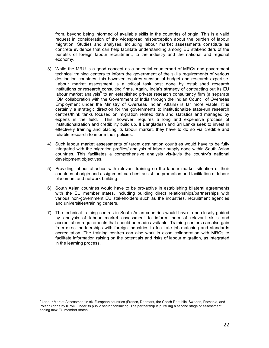from, beyond being informed of available skills in the countries of origin. This is a valid request in consideration of the widespread misperception about the burden of labour migration. Studies and analyses, including labour market assessments constitute as concrete evidence that can help facilitate understanding among EU stakeholders of the benefits of foreign labour recruitment, to the industry and the national and regional economy.

- 3) While the MRU is a good concept as a potential counterpart of MRCs and government technical training centers to inform the government of the skills requirements of various destination countries, this however requires substantial budget and research expertise. Labour market assessment is a critical task best done by established research institutions or research consulting firms. Again, India's strategy of contracting out its EU labour market analysis<sup>8</sup> to an established private research consultancy firm (a separate IOM collaboration with the Government of India through the Indian Council of Overseas Employment under the Ministry of Overseas Indian Affairs) is far more viable. It is certainly a strategic direction for the governments to institutionalize state-run research centres/think tanks focused on migration related data and statistics and managed by experts in the field. This, however, requires a long and expensive process of institutionalization and credibility build up. If Bangladesh and Sri Lanka seek to invest in effectively training and placing its labour market, they have to do so via credible and reliable research to inform their policies.
- 4) Such labour market assessments of target destination countries would have to be fully integrated with the migration profiles/ analysis of labour supply done within South Asian countries. This facilitates a comprehensive analysis vis-à-vis the country's national development objectives.
- 5) Providing labour attaches with relevant training on the labour market situation of their countries of origin and assignment can best assist the promotion and facilitation of labour placement and network building.
- 6) South Asian countries would have to be pro-active in establishing bilateral agreements with the EU member states, including building direct relationships/partnerships with various non-government EU stakeholders such as the industries, recruitment agencies and universities/training centers.
- 7) The technical training centres in South Asian countries would have to be closely guided by analysis of labour market assessment to inform them of relevant skills and accreditation requirements that should be made available. Training centers can also gain from direct partnerships with foreign industries to facilitate job-matching and standards accreditation. The training centres can also work in close collaboration with MRCs to facilitate information raising on the potentials and risks of labour migration, as integrated in the learning process.

<sup>&</sup>lt;sup>8</sup> Labour Market Assessment in six European countries (France, Denmark, the Czech Republic, Sweden, Romania, and Poland) done by KPMG under its public sector consulting. The partnership is pursuing a second stage of assessment adding new EU member states.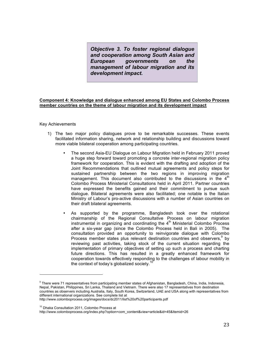*Objective 3. To foster regional dialogue and cooperation among South Asian and European governments on the management of labour migration and its development impact.* 

#### **Component 4: Knowledge and dialogue enhanced among EU States and Colombo Process member countries on the theme of labour migration and its development impact**

#### Key Achievements

- 1) The two major policy dialogues prove to be remarkable successes. These events facilitated information sharing, network and relationship building and discussions toward more viable bilateral cooperation among participating countries.
	- The second Asia-EU Dialogue on Labour Migration held in February 2011 proved a huge step forward toward promoting a concrete inter-regional migration policy framework for cooperation. This is evident with the drafting and adoption of the Joint Recommendations that outlined mutual agreements and policy steps for sustained partnership between the two regions in improving migration management. This document also contributed to the discussions in the  $4<sup>th</sup>$ Colombo Process Ministerial Consultations held in April 2011. Partner countries have expressed the benefits gained and their commitment to pursue such dialogue. Bilateral agreements were also facilitated; one notable is the Italian Ministry of Labour's pro-active discussions with a number of Asian countries on their draft bilateral agreements.
	- As supported by the programme, Bangladesh took over the rotational chairmanship of the Regional Consultative Process on labour migration instrumental in organizing and coordinating the  $4<sup>th</sup>$  Ministerial Colombo Process after a six-year gap (since the Colombo Process held in Bali in 2005). The consultation provided an opportunity to reinvigorate dialogue with Colombo Process member states plus relevant destination countries and observers,  $9$  by reviewing past activities, taking stock of the current situation regarding the implementation of primary objectives of setting up such a process and charting future directions. This has resulted in a greatly enhanced framework for cooperation towards effectively responding to the challenges of labour mobility in the context of today's globalized society.<sup>1</sup>

<sup>10</sup> Dhaka Consultation 2011, Colombo Process at

http://www.colomboprocess.org/index.php?option=com\_content&view=article&id=45&Itemid=26

<sup>&</sup>lt;sup>9</sup> There were 71 representatives from participating member states of Afghanistan, Bangladesh, China, India, Indonesia, Nepal, Pakistan, Philippines, Sri Lanka, Thailand and Vietnam. There were also 17 representatives from destination countries as observers including Australia, Italy, South Korea, Switzerland, UAE and USA along with representatives from different international organizations. See complete list at http://www.colomboprocess.org/images/docs/dc2011/list%20of%20participants.pdf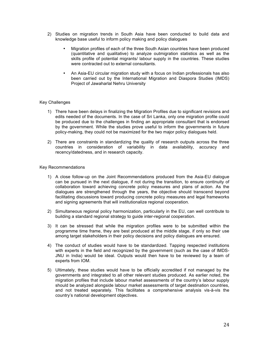- 2) Studies on migration trends in South Asia have been conducted to build data and knowledge base useful to inform policy making and policy dialogues
	- Migration profiles of each of the three South Asian countries have been produced (quantitative and qualitative) to analyze outmigration statistics as well as the skills profile of potential migrants/ labour supply in the countries. These studies were contracted out to external consultants.
	- An Asia-EU circular migration study with a focus on Indian professionals has also been carried out by the International Migration and Diaspora Studies (IMDS) Project of Jawaharlal Nehru University

#### Key Challenges

- 1) There have been delays in finalizing the Migration Profiles due to significant revisions and edits needed of the documents. In the case of Sri Lanka, only one migration profile could be produced due to the challenges in finding an appropriate consultant that is endorsed by the government. While the studies prove useful to inform the governments in future policy-making, they could not be maximized for the two major policy dialogues held.
- 2) There are constraints in standardizing the quality of research outputs across the three countries in consideration of variability in data availability, accuracy and recency/datedness, and in research capacity.

#### Key Recommendations

- 1) A close follow-up on the Joint Recommendations produced from the Asia-EU dialogue can be pursued in the next dialogue, if not during the transition, to ensure continuity of collaboration toward achieving concrete policy measures and plans of action. As the dialogues are strengthened through the years, the objective should transcend beyond facilitating discussions toward producing concrete policy measures and legal frameworks and signing agreements that will institutionalize regional cooperation.
- 2) Simultaneous regional policy harmonization, particularly in the EU, can well contribute to building a standard regional strategy to guide inter-regional cooperation.
- 3) It can be stressed that while the migration profiles were to be submitted within the programme time frame, they are best produced at the middle stage, if only so their use among target stakeholders in their policy decisions and policy dialogues are ensured.
- 4) The conduct of studies would have to be standardized. Tapping respected institutions with experts in the field and recognized by the government (such as the case of IMDS-JNU in India) would be ideal. Outputs would then have to be reviewed by a team of experts from IOM.
- 5) Ultimately, these studies would have to be officially accredited if not managed by the governments and integrated to all other relevant studies produced. As earlier noted, the migration profiles that include labour market assessments of the country's labour supply should be analyzed alongside labour market assessments of target destination countries, and not treated separately. This facilitates a comprehensive analysis vis-à-vis the country's national development objectives.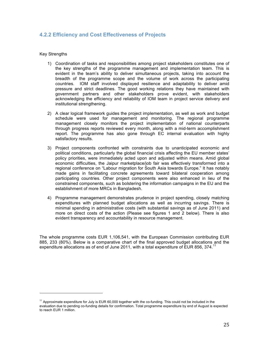# **4.2.2 Efficiency and Cost Effectiveness of Projects**

#### Key Strengths

- 1) Coordination of tasks and responsibilities among project stakeholders constitutes one of the key strengths of the programme management and implementation team. This is evident in the team's ability to deliver simultaneous projects, taking into account the breadth of the programme scope and the volume of work across the participating countries. IOM staff involved displayed resilience and adaptability to deliver amid pressure and strict deadlines. The good working relations they have maintained with government partners and other stakeholders prove evident, with stakeholders acknowledging the efficiency and reliability of IOM team in project service delivery and institutional strengthening.
- 2) A clear logical framework guides the project implementation, as well as work and budget schedule were used for management and monitoring. The regional programme management closely monitors the project implementation of national counterparts through progress reports reviewed every month, along with a mid-term accomplishment report. The programme has also gone through EC internal evaluation with highly satisfactory results.
- 3) Project components confronted with constraints due to unanticipated economic and political conditions, particularly the global financial crisis affecting the EU member states' policy priorities, were immediately acted upon and adjusted within means. Amid global economic difficulties, the Jaipur marketplace/job fair was effectively transformed into a regional conference on "Labour migration for South Asia towards Europe." It has notably made gains in facilitating concrete agreements toward bilateral cooperation among participating countries. Other project components were also enhanced in lieu of the constrained components, such as bolstering the information campaigns in the EU and the establishment of more MRCs in Bangladesh.
- 4) Programme management demonstrates prudence in project spending, closely matching expenditures with planned budget allocations as well as incurring savings. There is minimal spending in administrative costs (with substantial savings as of June 2011) and more on direct costs of the action (Please see figures 1 and 2 below). There is also evident transparency and accountability in resource management.

The whole programme costs EUR 1,106,541, with the European Commission contributing EUR 885, 233 (80%). Below is a comparative chart of the final approved budget allocations and the expenditure allocations as of end of June 2011, with a total expenditure of EUR 856, 374.<sup>11</sup>

 $11$  Approximate expenditure for July is EUR 60,000 together with the co-funding. This could not be included in the evaluation due to pending co-funding details for confirmation. Total programme expenditure by end of August is expected to reach EUR 1 million.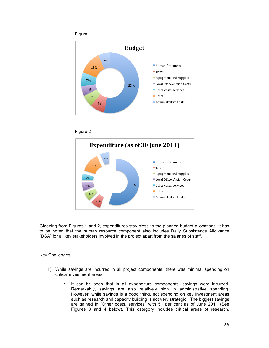







Gleaning from Figures 1 and 2, expenditures stay close to the planned budget allocations. It has to be noted that the human resource component also includes Daily Subsistence Allowance (DSA) for all key stakeholders involved in the project apart from the salaries of staff.

Key Challenges

- 1) While savings are incurred in all project components, there was minimal spending on critical investment areas.
	- It can be seen that in all expenditure components, savings were incurred. Remarkably, savings are also relatively high in administrative spending. However, while savings is a good thing, not spending on key investment areas such as research and capacity building is not very strategic. The biggest savings are gained in "Other costs, services" with 51 per cent as of June 2011 (See Figures 3 and 4 below). This category includes critical areas of research,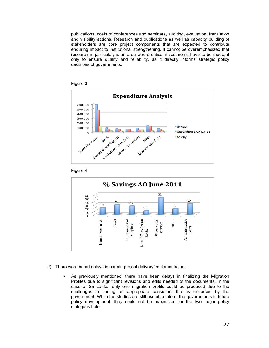publications, costs of conferences and seminars, auditing, evaluation, translation and visibility actions. Research and publications as well as capacity building of stakeholders are core project components that are expected to contribute enduring impact to institutional strengthening. It cannot be overemphasized that research in particular, is an area where critical investments have to be made, if only to ensure quality and reliability, as it directly informs strategic policy decisions of governments.









- 2) There were noted delays in certain project delivery/implementation.
	- As previously mentioned, there have been delays in finalizing the Migration Profiles due to significant revisions and edits needed of the documents. In the case of Sri Lanka, only one migration profile could be produced due to the challenges in finding an appropriate consultant that is endorsed by the government. While the studies are still useful to inform the governments in future policy development, they could not be maximized for the two major policy dialogues held.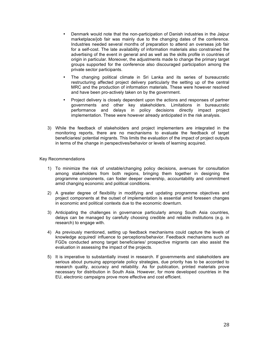- Denmark would note that the non-participation of Danish industries in the Jaipur marketplace/job fair was mainly due to the changing dates of the conference. Industries needed several months of preparation to attend an overseas job fair for a self-cost. The late availability of information materials also constrained the advertising of the event in general and as well as the skills profile in countries of origin in particular. Moreover, the adjustments made to change the primary target groups supported for the conference also discouraged participation among the private sector participants.
- The changing political climate in Sri Lanka and its series of bureaucratic restructuring affected project delivery particularly the setting up of the central MRC and the production of information materials. These were however resolved and have been pro-actively taken on by the government.
- Project delivery is closely dependent upon the actions and responses of partner governments and other key stakeholders. Limitations in bureaucratic performance and delays in policy decisions directly impact project implementation. These were however already anticipated in the risk analysis.
- 3) While the feedback of stakeholders and project implementers are integrated in the monitoring reports, there are no mechanisms to evaluate the feedback of target beneficiaries/ potential migrants. This limits the evaluation of the impact of project outputs in terms of the change in perspectives/behavior or levels of learning acquired.

#### Key Recommendations

- 1) To minimize the risk of unstable/changing policy decisions, avenues for consultation among stakeholders from both regions, bringing them together in designing the programme components, can foster deeper ownership, accountability and commitment amid changing economic and political conditions.
- 2) A greater degree of flexibility in modifying and updating programme objectives and project components at the outset of implementation is essential amid foreseen changes in economic and political contexts due to the economic downturn.
- 3) Anticipating the challenges in governance particularly among South Asia countries, delays can be managed by carefully choosing credible and reliable institutions (e.g. in research) to engage with.
- 4) As previously mentioned, setting up feedback mechanisms could capture the levels of knowledge acquired/ influence to perceptions/behavior. Feedback mechanisms such as FGDs conducted among target beneficiaries/ prospective migrants can also assist the evaluation in assessing the impact of the projects.
- 5) It is imperative to substantially invest in research. If governments and stakeholders are serious about pursuing appropriate policy strategies, due priority has to be accorded to research quality, accuracy and reliability. As for publication, printed materials prove necessary for distribution in South Asia. However, for more developed countries in the EU, electronic campaigns prove more effective and cost efficient.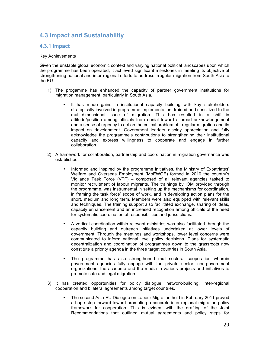# **4.3 Impact and Sustainability**

# **4.3.1 Impact**

#### Key Achievements

Given the unstable global economic context and varying national political landscapes upon which the programme has been operated, it achieved significant milestones in meeting its objective of strengthening national and inter-regional efforts to address irregular migration from South Asia to the EU.

- 1) The progamme has enhanced the capacity of partner government institutions for migration management, particularly in South Asia.
	- It has made gains in institutional capacity building with key stakeholders strategically involved in programme implementation, trained and sensitized to the multi-dimensional issue of migration. This has resulted in a shift in attitude/position among officials from denial toward a broad acknowledgement and a sense of urgency to act on the critical problem of irregular migration and its impact on development. Government leaders display appreciation and fully acknowledge the programme's contributions to strengthening their institutional capacity and express willingness to cooperate and engage in further collaboration.
- 2) A framework for collaboration, partnership and coordination in migration governance was established.
	- Informed and inspired by the programme initiatives, the Ministry of Expatriates' Welfare and Overseas Employment (MoEWOE) formed in 2010 the country's Vigilance Task Force (VTF) – composed of all relevant agencies tasked to monitor recruitment of labour migrants. The trainings by IOM provided through the programme, was instrumental in setting up the mechanisms for coordination, in framing the task force' scope of work, and in developing action plans for the short, medium and long term. Members were also equipped with relevant skills and techniques. The training support also facilitated exchange, sharing of ideas, capacity enhancement and an increased recognition among officials of the need for systematic coordination of responsibilities and jurisdictions.
	- A vertical coordination within relevant ministries was also facilitated through the capacity building and outreach initiatives undertaken at lower levels of government. Through the meetings and workshops, lower level concerns were communicated to inform national level policy decisions. Plans for systematic decentralization and coordination of programmes down to the grassroots now constitute a priority agenda in the three target countries in South Asia.
	- The programme has also strengthened multi-sectoral cooperation wherein government agencies fully engage with the private sector, non-government organizations, the academe and the media in various projects and initiatives to promote safe and legal migration.
- 3) It has created opportunities for policy dialogue, network-building, inter-regional cooperation and bilateral agreements among target countries.
	- The second Asia-EU Dialogue on Labour Migration held in February 2011 proved a huge step forward toward promoting a concrete inter-regional migration policy framework for cooperation. This is evident with the drafting of the Joint Recommendations that outlined mutual agreements and policy steps for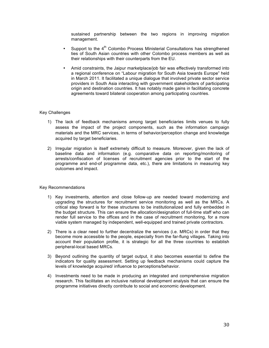sustained partnership between the two regions in improving migration management.

- Support to the  $4<sup>th</sup>$  Colombo Process Ministerial Consultations has strengthened ties of South Asian countries with other Colombo process members as well as their relationships with their counterparts from the EU.
- Amid constraints, the Jaipur marketplace/job fair was effectively transformed into a regional conference on "Labour migration for South Asia towards Europe" held in March 2011. It facilitated a unique dialogue that involved private sector service providers in South Asia interacting with government stakeholders of participating origin and destination countries. It has notably made gains in facilitating concrete agreements toward bilateral cooperation among participating countries.

#### Key Challenges

- 1) The lack of feedback mechanisms among target beneficiaries limits venues to fully assess the impact of the project components, such as the information campaign materials and the MRC services, in terms of behavior/perception change and knowledge acquired by target beneficiaries.
- 2) Irregular migration is itself extremely difficult to measure. Moreover, given the lack of baseline data and information (e.g. comparative data on reporting/monitoring of arrests/confiscation of licenses of recruitment agencies prior to the start of the programme and end-of programme data, etc.), there are limitations in measuring key outcomes and impact.

#### Key Recommendations

- 1) Key investments, attention and close follow-up are needed toward modernizing and upgrading the structures for recruitment service monitoring as well as the MRCs. A critical step forward is for these structures to be institutionalized and fully embedded in the budget structure. This can ensure the allocation/designation of full-time staff who can render full service to the offices and in the case of recruitment monitoring, for a more viable system managed by independent, well-equipped and trained private contractors.
- 2) There is a clear need to further decentralize the services (i.e. MRCs) in order that they become more accessible to the people, especially from the far-flung villages. Taking into account their population profile, it is strategic for all the three countries to establish peripheral-local based MRCs.
- 3) Beyond outlining the quantity of target output, it also becomes essential to define the indicators for quality assessment. Setting up feedback mechanisms could capture the levels of knowledge acquired/ influence to perceptions/behavior.
- 4) Investments need to be made in producing an integrated and comprehensive migration research. This facilitates an inclusive national development analysis that can ensure the programme initiatives directly contribute to social and economic development.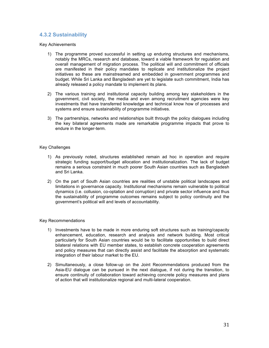# **4.3.2 Sustainability**

Key Achievements

- 1) The programme proved successful in setting up enduring structures and mechanisms, notably the MRCs, research and database, toward a viable framework for regulation and overall management of migration process. The political will and commitment of officials are manifested in their policy mandates to replicate and institutionalize the project initiatives so these are mainstreamed and embedded in government programmes and budget. While Sri Lanka and Bangladesh are yet to legislate such commitment, India has already released a policy mandate to implement its plans.
- 2) The various training and institutional capacity building among key stakeholders in the government, civil society, the media and even among recruitment agencies were key investments that have transferred knowledge and technical know how of processes and systems and ensure sustainability of programme initiatives.
- 3) The partnerships, networks and relationships built through the policy dialogues including the key bilateral agreements made are remarkable programme impacts that prove to endure in the longer-term.

#### Key Challenges

- 1) As previously noted, structures established remain ad hoc in operation and require strategic funding support/budget allocation and institutionalization. The lack of budget remains a serious constraint in much poorer South Asian countries such as Bangladesh and Sri Lanka.
- 2) On the part of South Asian countries are realities of unstable political landscapes and limitations in governance capacity. Institutional mechanisms remain vulnerable to political dynamics (i.e. collusion, co-optation and corruption) and private sector influence and thus the sustainability of programme outcomes remains subject to policy continuity and the government's political will and levels of accountability.

#### Key Recommendations

- 1) Investments have to be made in more enduring soft structures such as training/capacity enhancement, education, research and analysis and network building. Most critical particularly for South Asian countries would be to facilitate opportunities to build direct bilateral relations with EU member states, to establish concrete cooperation agreements and policy measures that can directly assist and facilitate the absorption and systematic integration of their labour market to the EU.
- 2) Simultaneously, a close follow-up on the Joint Recommendations produced from the Asia-EU dialogue can be pursued in the next dialogue, if not during the transition, to ensure continuity of collaboration toward achieving concrete policy measures and plans of action that will institutionalize regional and multi-lateral cooperation.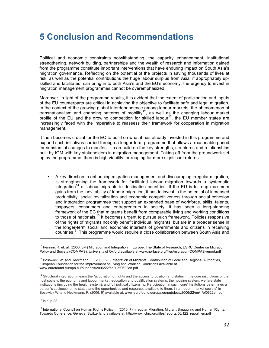# **5 Conclusion and Recommendations**

Political and economic constraints notwithstanding, the capacity enhancement, institutional strengthening, network building, partnerships and the wealth of research and information gained from the programme constitute important interventions that have enduring impact on South Asia's migration governance. Reflecting on the potential of the projects in saving thousands of lives at risk, as well as the potential contributions the huge labour surplus from Asia, if appropriately upskilled and facilitated, can bring in to both Asia's and the EU's economy, the urgency to invest in migration management programmes cannot be overemphasized.

Moreover, in light of the programme results, it is evident that the extent of participation and inputs of the EU counterparts are critical in achieving the objective to facilitate safe and legal migration. In the context of the growing global interdependence among labour markets, the phenomenon of transnationalism and changing patterns of mobility<sup>12</sup>, as well as the changing labour market profile of the EU and the growing competition for skilled labour<sup>13</sup>, the EU member states are increasingly faced with the imperative to reassess their framework for cooperation in migration management.

It then becomes crucial for the EC to build on what it has already invested in this programme and expand such initiatives carried through a longer-term programme that allows a reasonable period for substantial changes to manifest. It can build on the key strengths, structures and relationships built by IOM with key stakeholders in migration management. Taking off from the groundwork set up by the programme, there is high viability for reaping far more significant returns.

• A key direction to enhancing migration management and discouraging irregular migration, is strengthening the framework for facilitated labour migration towards a systematic integration<sup>14</sup> of labour migrants in destination countries. If the EU is to reap maximum gains from the inevitability of labour migration, it has to invest in the potential of increased productivity, social revitalization and economic competitiveness through social cohesion and integration programmes that support an expanded base of workforce, skills, talents, taxpayers, consumers and entrepreneurs in society. It has been a long-standing framework of the EC that migrants benefit from comparable living and working conditions to those of nationals.<sup>15</sup> It becomes urgent to pursue such framework. Policies responsive of the rights of migrants not only benefit individual migrants, but are in a broader sense in the longer-term social and economic interests of governments and citizens in receiving countries<sup>16</sup>. This programme would require a close collaboration between South Asia and

 $15$  ibid, p.22

<sup>&</sup>lt;sup>12</sup> Penninx R. et. al. (2008: 3-4) Migration and Integration in Europe: The State of Research, ESRC Centre on Migration, Policy and Society (COMPAS), University of Oxford available at www.norface.org/files/migration-COMPAS-report.pdf

<sup>&</sup>lt;sup>13</sup> Bosswick, W. and Heckmann, F. (2006: 20) Integration of Migrants: Contribution of Local and Regional Authorities, European Foundation for the Improvement of Living and Working Conditions available at www.eurofound.europa.eu/pubdocs/2006/22/en/1/ef0622en.pdf

<sup>&</sup>lt;sup>14</sup> Structural integration means the "acquisition of rights and the access to position and status in the core institutions of the host society: the economy and labour market, education and qualification systems, the housing system, welfare state institutions (including the health system), and full political citizenship. Participation in such 'core' institutions determines a person's socioeconomic status and the opportunities and resources available to them, in a modern market society" in Bosswick W. and Heckmann, F. (2006: 9) available at: www.eurofound.europa.eu/pubdocs/2006/22/en/1/ef0622en.pdf

<sup>&</sup>lt;sup>16</sup> International Council on Human Rights Policy (2010: 7) Irregular Migration, Migrant Smuggling and Human Rights: Towards Coherence. Geneva, Switzerland available at: http://www.ichrp.org/files/reports/56/122\_report\_en.pdf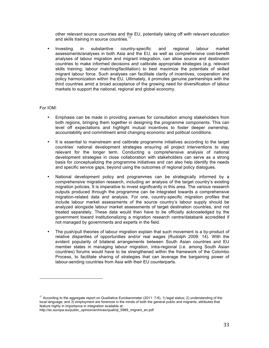other relevant source countries and the EU, potentially taking off with relevant education and skills training in source countries.<sup>17</sup>

• Investing in substantive country-specific and regional labour market assessments/analyses in both Asia and the EU, as well as comprehensive cost-benefit analyses of labour migration and migrant integration, can allow source and destination countries to make informed decisions and calibrate appropriate strategies (e.g. relevant skills training; labour matching/facilitation) to best maximize the potentials of skilled migrant labour force. Such analyses can facilitate clarity of incentives, cooperation and policy harmonization within the EU. Ultimately, it promotes genuine partnerships with the third countries amid a broad acceptance of the growing need for diversification of labour markets to support the national, regional and global economy.

#### For IOM:

- Emphasis can be made in providing avenues for consultation among stakeholders from both regions, bringing them together in designing the programme components. This can level off expectations and highlight mutual incentives to foster deeper ownership, accountability and commitment amid changing economic and political conditions.
- It is essential to mainstream and calibrate programme initiatives according to the target countries' national development strategies ensuring all project interventions to stay relevant for the longer term. Conducting a comprehensive analysis of national development strategies in close collaboration with stakeholders can serve as a strong basis for conceptualizing the programme initiatives and can also help identify the needs and specific service gaps, beyond using the outcomes of regional policy dialogues.
- National development policy and programmes can be strategically informed by a comprehensive migration research, including an analysis of the target country's existing migration policies. It is imperative to invest significantly in this area. The various research outputs produced through the programme can be integrated towards a comprehensive migration-related data and analysis. For one, country-specific migration profiles that include labour market assessments of the source country's labour supply should be analyzed alongside labour market assessments of target destination countries, and not treated separately. These data would then have to be officially acknowledged by the government toward institutionalizing a migration research centre/databank accredited if not managed by governments and experts in the field.
- The push/pull theories of labour migration explain that such movement is a by-product of relative disparities of opportunities and/or real wages (Rudolph 2009: 14). With the evident popularity of bilateral arrangements between South Asian countries and EU member states in managing labour migration, intra-regional (i.e. among South Asian countries) forums would have to be strengthened within the framework of the Colombo Process, to facilitate sharing of strategies that can leverage the bargaining power of labour-sending countries from Asia with their EU counterparts.

 $17$  According to the aggregate report on Qualitative Eurobarometer (2011: 7-8), 1) legal status; 2) understanding of the local language; and 3) employment are foremost in the minds of both the general public and migrants, attributes that feature highly in importance in integration available at:

http://ec.europa.eu/public\_opinion/archives/quali/ql\_5969\_migrant\_en.pdf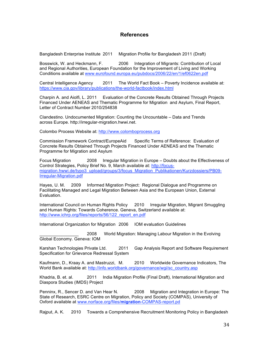# **References**

Bangladesh Enterprise Institute 2011 Migration Profile for Bangladesh 2011 (Draft)

Bosswick, W. and Heckmann, F. 2006 Integration of Migrants: Contribution of Local and Regional Authorities, European Foundation for the Improvement of Living and Working Conditions available at www.eurofound.europa.eu/pubdocs/2006/22/en/1/ef0622en.pdf

Central Intelligence Agency 2011 The World Fact Book – Poverty Incidence available at: https://www.cia.gov/library/publications/the-world-factbook/index.html

Charpin A. and Aiolfi, L. 2011 Evaluation of the Concrete Results Obtained Through Projects Financed Under AENEAS and Thematic Programme for Migration and Asylum, Final Report, Letter of Contract Number 2010/254838

Clandestino. Undocumented Migration: Counting the Uncountable – Data and Trends across Europe. http://irregular-migration.hwwi.net.

Colombo Process Website at: http://www.colomboprocess.org

Commission Framework Contract/EuropeAid Specific Terms of Reference: Evaluation of Concrete Results Obtained Through Projects Financed Under AENEAS and the Thematic Programme for Migration and Asylum

Focus Migration 2008 Irregular Migration in Europe – Doubts about the Effectiveness of Control Strategies, Policy Brief No. 9, March available at: http://focusmigration.hwwi.de/typo3\_upload/groups/3/focus\_Migration\_Publikationen/Kurzdossiers/PB09- Irregular-Migration.pdf

Hayes, U. M. 2009 Informed Migration Project: Regional Dialogue and Programme on Facilitating Managed and Legal Migration Between Asia and the European Union, External Evaluation.

International Council on Human Rights Policy 2010 Irregular Migration, Migrant Smuggling and Human Rights: Towards Coherence. Geneva, Switzerland available at: http://www.ichrp.org/files/reports/56/122\_report\_en.pdf

International Organization for Migration 2006 IOM evaluation Guidelines

\_\_\_\_\_\_\_\_\_\_\_\_\_\_\_\_ 2008 World Migration: Managing Labour Migration in the Evolving Global Economy. Geneva: IOM

Karshan Technologies Private Ltd. 2011 Gap Analysis Report and Software Requirement Specification for Grievance Redressal System

Kaufmann, D., Kraay A. and Mastruzzi, M. 2010 Worldwide Governance Indicators, The World Bank available at: http://info.worldbank.org/governance/wgi/sc\_country.asp

Khadria, B. et. al. 2011 India Migration Profile (Final Draft), International Migration and Diaspora Studies (IMDS) Project

Penninx, R., Sencer D. and Van Hear N. 2008 Migration and Integration in Europe: The State of Research, ESRC Centre on Migration, Policy and Society (COMPAS), University of Oxford available at www.norface.org/files/**migration**-COMPAS-report.pd

Rajput, A. K. 2010 Towards a Comprehensive Recruitment Monitoring Policy in Bangladesh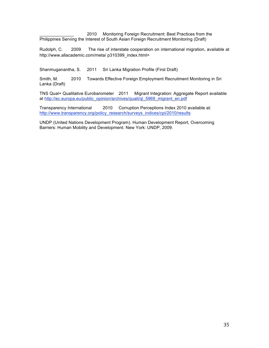2010 Monitoring Foreign Recruitment: Best Practices from the Philippines Serving the Interest of South Asian Foreign Recruitment Monitoring (Draft)

Rudolph, C. 2009 The rise of interstate cooperation on international migration, available at http://www.allacademic.com/meta/ p310399\_index.html>

Shanmuganantha, S. 2011 Sri Lanka Migration Profile (First Draft)

Smith, M. 2010 Towards Effective Foreign Employment Recruitment Monitoring in Sri Lanka (Draft)

TNS Qual+ Qualitative Eurobarometer 2011 Migrant Integration: Aggregate Report available at http://ec.europa.eu/public\_opinion/archives/quali/ql\_5969\_migrant\_en.pdf

Transparency International 2010 Corruption Perceptions Index 2010 available at: http://www.transparency.org/policy\_research/surveys\_indices/cpi/2010/results

UNDP (United Nations Development Program). Human Development Report, Overcoming Barriers: Human Mobility and Development. New York: UNDP, 2009.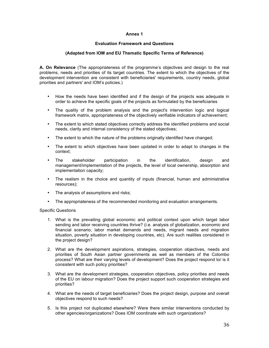#### **Annex 1**

#### **Evaluation Framework and Questions**

#### **(Adapted from IOM and EU Thematic Specific Terms of Reference)**

**A. On Relevance** (The appropriateness of the programme's objectives and design to the real problems, needs and priorities of its target countries. The extent to which the objectives of the development intervention are consistent with beneficiaries' requirements, country needs, global priorities and partners' and IOM's policies.)

- How the needs have been identified and if the design of the projects was adequate in order to achieve the specific goals of the projects as formulated by the beneficiaries
- The quality of the problem analysis and the project's intervention logic and logical framework matrix, appropriateness of the objectively verifiable indicators of achievement;
- The extent to which stated objectives correctly address the identified problems and social needs, clarity and internal consistency of the stated objectives;
- The extent to which the nature of the problems originally identified have changed;
- The extent to which objectives have been updated in order to adapt to changes in the context;
- The stakeholder participation in the identification, design and management/implementation of the projects, the level of local ownership, absorption and implementation capacity;
- The realism in the choice and quantity of inputs (financial, human and administrative resources);
- The analysis of assumptions and risks;
- The appropriateness of the recommended monitoring and evaluation arrangements.

#### Specific Questions

- 1. What is the prevailing global economic and political context upon which target labor sending and labor receiving countries thrive? (i.e. analysis of globalization, economic and financial scenario; labor market demands and needs, migrant needs and migration situation, poverty situation in developing countries, etc). Are such realities considered in the project design?
- 2. What are the development aspirations, strategies, cooperation objectives, needs and priorities of South Asian partner governments as well as members of the Colombo process? What are their varying levels of development? Does the project respond to/ is it consistent with such policy priorities?
- 3. What are the development strategies, cooperation objectives, policy priorities and needs of the EU on labour migration? Does the project support such cooperation strategies and priorities?
- 4. What are the needs of target beneficiaries? Does the project design, purpose and overall objectives respond to such needs?
- 5. Is this project not duplicated elsewhere? Were there similar interventions conducted by other agencies/organizations? Does IOM coordinate with such organizations?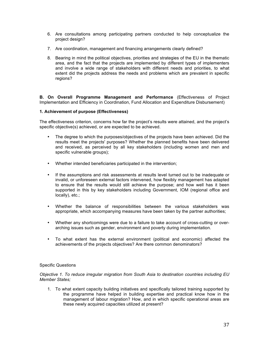- 6. Are consultations among participating partners conducted to help conceptualize the project design?
- 7. Are coordination, management and financing arrangements clearly defined?
- 8. Bearing in mind the political objectives, priorities and strategies of the EU in the thematic area, and the fact that the projects are implemented by different types of implementers and involve a wide range of stakeholders with different needs and priorities, to what extent did the projects address the needs and problems which are prevalent in specific regions?

**B. On Overall Programme Management and Performance** (Effectiveness of Project Implementation and Efficiency in Coordination, Fund Allocation and Expenditure Disbursement)

#### **1. Achievement of purpose (Effectiveness)**

The effectiveness criterion, concerns how far the project's results were attained, and the project's specific objective(s) achieved, or are expected to be achieved.

- The degree to which the purposes/objectives of the projects have been achieved. Did the results meet the projects' purposes? Whether the planned benefits have been delivered and received, as perceived by all key stakeholders (including women and men and specific vulnerable groups);
- Whether intended beneficiaries participated in the intervention;
- If the assumptions and risk assessments at results level turned out to be inadequate or invalid, or unforeseen external factors intervened, how flexibly management has adapted to ensure that the results would still achieve the purpose; and how well has it been supported in this by key stakeholders including Government, IOM (regional office and locally), etc.;
- Whether the balance of responsibilities between the various stakeholders was appropriate, which accompanying measures have been taken by the partner authorities;
- Whether any shortcomings were due to a failure to take account of cross-cutting or overarching issues such as gender, environment and poverty during implementation.
- To what extent has the external environment (political and economic) affected the achievements of the projects objectives? Are there common denominators?

#### Specific Questions

*Objective 1. To reduce irregular migration from South Asia to destination countries including EU Member States;* 

1. To what extent capacity building initiatives and specifically tailored training supported by the programme have helped in building expertise and practical know how in the management of labour migration? How, and in which specific operational areas are these newly acquired capacities utilized at present?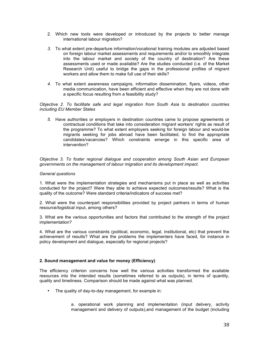- 2. Which new tools were developed or introduced by the projects to better manage international labour migration?
- *3.* To what extent pre-departure information/vocational training modules are adjusted based on foreign labour market assessments and requirements and/or to smoothly integrate into the labour market and society of the country of destination? Are these assessments used or made available? Are the studies conducted (i.e. of the Market Research Unit) useful to bridge the gaps in the professional profiles of migrant workers and allow them to make full use of their skills?
- *4.* To what extent awareness campaigns, information dissemination, flyers, videos, other media communication, have been efficient and effective when they are not done with a specific focus resulting from a feasibility study?

*Objective 2. To facilitate safe and legal migration from South Asia to destination countries including EU Member States*

*5.* Have authorities or employers in destination countries came to propose agreements or contractual conditions that take into consideration migrant workers' rights as result of the programme? To what extent employers seeking for foreign labour and would-be migrants seeking for jobs abroad have been facilitated, to find the appropriate candidates/vacancies? Which constraints emerge in this specific area of intervention?

*Objective 3. To foster regional dialogue and cooperation among South Asian and European governments on the management of labour migration and its development impact.* 

#### *General questions*

1. What were the implementation strategies and mechanisms put in place as well as activities conducted for the project? Were they able to achieve expected outcomes/results? What is the quality of the outcome? Were standard criteria/indicators of success met?

2. What were the counterpart responsibilities provided by project partners in terms of human resource/logistical input, among others?

3. What are the various opportunities and factors that contributed to the strength of the project implementation?

4. What are the various constraints (political, economic, legal, institutional, etc) that prevent the achievement of results? What are the problems the implementers have faced, for instance in policy development and dialogue, especially for regional projects?

#### **2. Sound management and value for money (Efficiency)**

The efficiency criterion concerns how well the various activities transformed the available resources into the intended results (sometimes referred to as outputs), in terms of quantity, quality and timeliness. Comparison should be made against what was planned.

• The quality of day-to-day management, for example in:

a. operational work planning and implementation (input delivery, activity management and delivery of outputs),and management of the budget (including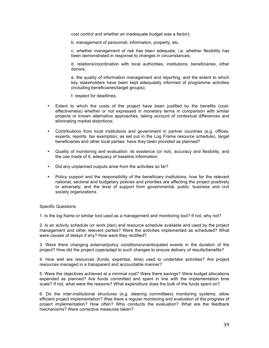cost control and whether an inadequate budget was a factor);

b. management of personnel, information, property, etc,

c. whether management of risk has been adequate, i.e. whether flexibility has been demonstrated in response to changes in circumstances;

d. relations/coordination with local authorities, institutions, beneficiaries, other donors;

e. the quality of information management and reporting, and the extent to which key stakeholders have been kept adequately informed of programme activities (including beneficiaries/target groups);

f. respect for deadlines;

- Extent to which the costs of the project have been justified by the benefits (costeffectiveness) whether or not expressed in monetary terms in comparison with similar projects or known alternative approaches, taking account of contextual differences and eliminating market distortions;
- Contributions from local institutions and government in partner countries (e.g. offices, experts, reports, tax exemption, as set out in the Log Frame resource schedule), target beneficiaries and other local parties: have they been provided as planned?
- Quality of monitoring and evaluation: its existence (or not), accuracy and flexibility, and the use made of it; adequacy of baseline information;
- Did any unplanned outputs arise from the activities so far?
- Policy support and the responsibility of the beneficiary institutions, how far the relevant national, sectoral and budgetary policies and priorities are affecting the project positively or adversely; and the level of support from governmental, public, business and civil society organizations.

#### Specific Questions

1. Is the log frame or similar tool used as a management and monitoring tool? If not, why not?

2. Is an activity schedule (or work plan) and resource schedule available and used by the project management and other relevant parties? Were the activities implemented as scheduled? What were causes of delays if any? How were they rectified?

3. Were there changing external/policy conditions/unanticipated events in the duration of the project? How did the project cope/adapt to such changes to ensure delivery of results/benefits?

4. How well are resources (funds, expertise, time) used to undertake activities? Are project resources managed in a transparent and accountable manner?

5. Were the objectives achieved at a minimal cost? Were there savings? Were budget allocations expended as planned? Are funds committed and spent in line with the implementation time scale? If not, what were the reasons? What expenditure does the bulk of the funds spent on?

6. Do the inter-institutional structures (e.g. steering committees) monitoring systems, allow efficient project implementation? Was there a regular monitoring and evaluation of the progress of project implementation? How often? Who conducts the evaluation? What are the feedback mechanisms? Were corrective measures taken?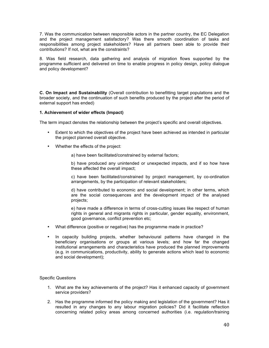7. Was the communication between responsible actors in the partner country, the EC Delegation and the project management satisfactory? Was there smooth coordination of tasks and responsibilities among project stakeholders? Have all partners been able to provide their contributions? If not, what are the constraints?

8. Was field research, data gathering and analysis of migration flows supported by the programme sufficient and delivered on time to enable progress in policy design, policy dialogue and policy development?

**C. On Impact and Sustainability** (Overall contribution to benefitting target populations and the broader society, and the continuation of such benefits produced by the project after the period of external support has ended)

#### **1. Achievement of wider effects (Impact)**

The term impact denotes the relationship between the project's specific and overall objectives.

- Extent to which the objectives of the project have been achieved as intended in particular the project planned overall objective.
- Whether the effects of the project:
	- a) have been facilitated/constrained by external factors;

b) have produced any unintended or unexpected impacts, and if so how have these affected the overall impact;

c) have been facilitated/constrained by project management, by co-ordination arrangements, by the participation of relevant stakeholders;

d) have contributed to economic and social development; in other terms, which are the social consequences and the development impact of the analysed projects;

e) have made a difference in terms of cross-cutting issues like respect of human rights in general and migrants rights in particular, gender equality, environment, good governance, conflict prevention etc;

- What difference (positive or negative) has the programme made in practice?
- In capacity building projects, whether behavioural patterns have changed in the beneficiary organisations or groups at various levels; and how far the changed institutional arrangements and characteristics have produced the planned improvements (e.g. in communications, productivity, ability to generate actions which lead to economic and social development);

#### Specific Questions

- 1. What are the key achievements of the project? Has it enhanced capacity of government service providers?
- 2. Has the programme informed the policy making and legislation of the government? Has it resulted in any changes to any labour migration policies? Did it facilitate reflection concerning related policy areas among concerned authorities (i.e. regulation/training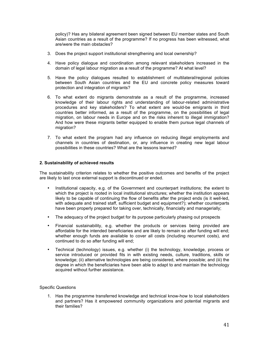policy)? Has any bilateral agreement been signed between EU member states and South Asian countries as a result of the programme? If no progress has been witnessed, what are/were the main obstacles?

- 3. Does the project support institutional strengthening and local ownership?
- 4. Have policy dialogue and coordination among relevant stakeholders increased in the domain of legal labour migration as a result of the programme? At what level?
- 5. Have the policy dialogues resulted to establishment of multilateral/regional policies between South Asian countries and the EU and concrete policy measures toward protection and integration of migrants?
- 6. To what extent do migrants demonstrate as a result of the programme, increased knowledge of their labour rights and understanding of labour-related administrative procedures and key stakeholders? To what extent are would-be emigrants in third countries better informed, as a result of the programme, on the possibilities of legal migration, on labour needs in Europe and on the risks inherent to illegal immigration? And how were these migrants better equipped to enable them pursue legal channels of migration?
- 7. To what extent the program had any influence on reducing illegal employments and channels in countries of destination, or, any influence in creating new legal labour possibilities in these countries? What are the lessons learned?

#### **2. Sustainability of achieved results**

The sustainability criterion relates to whether the positive outcomes and benefits of the project are likely to last once external support is discontinued or ended.

- Institutional capacity, e.g. of the Government and counterpart institutions; the extent to which the project is rooted in local institutional structures; whether the institution appears likely to be capable of continuing the flow of benefits after the project ends (is it well-led, with adequate and trained staff, sufficient budget and equipment?); whether counterparts have been properly prepared for taking over, technically, financially and managerially;
- The adequacy of the project budget for its purpose particularly phasing out prospects
- Financial sustainability, e.g. whether the products or services being provided are affordable for the intended beneficiaries and are likely to remain so after funding will end; whether enough funds are available to cover all costs (including recurrent costs), and continued to do so after funding will end;
- Technical (technology) issues, e.g. whether (i) the technology, knowledge, process or service introduced or provided fits in with existing needs, culture, traditions, skills or knowledge; (ii) alternative technologies are being considered, where possible; and (iii) the degree in which the beneficiaries have been able to adapt to and maintain the technology acquired without further assistance.

#### Specific Questions

1. Has the programme transferred knowledge and technical know-how to local stakeholders and partners? Has it empowered community organizations and potential migrants and their families?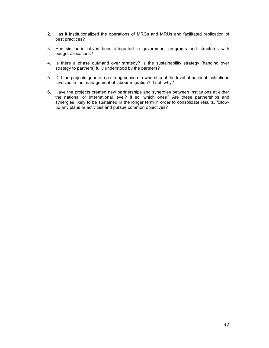- 2. Has it institutionalized the operations of MRCs and MRUs and facilitated replication of best practices?
- 3. Has similar initiatives been integrated in government programs and structures with budget allocations?
- 4. Is there a phase out/hand over strategy? Is the sustainability strategy (handing over strategy to partners) fully understood by the partners?
- 5. Did the projects generate a strong sense of ownership at the level of national institutions involved in the management of labour migration? If not, why?
- 6. Have the projects created new partnerships and synergies between institutions at either the national or international level? If so, which ones? Are these partnerships and synergies likely to be sustained in the longer term in order to consolidate results, followup any plans or activities and pursue common objectives?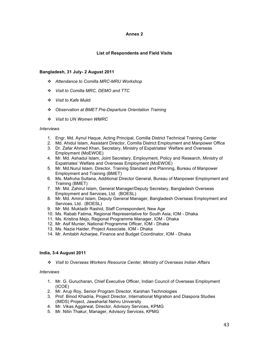#### **Annex 2**

### **List of Respondents and Field Visits**

#### **Bangladesh, 31 July- 2 August 2011**

- *Attendance to Comilla MRC-MRU Workshop*
- *Visit to Comilla MRC, DEMO and TTC*
- *Visit to Kafe Mukti*
- *Observation at BMET Pre-Departure Orientation Training*
- *Visit to UN Women WMRC*

#### *Interviews*

- 1. Engr. Md. Aynul Haque, Acting Principal, Comilla District Technical Training Center
- 2. Md. Ahidul Islam, Assistant Director, Comilla District Employment and Manpower Office
- 3. Dr. Zafar Ahmed Khan, Secretary, Ministry of Expatriates' Welfare and Overseas Employment (MoEWOE)
- 4. Mr. Md. Ashadul Islam, Joint Secretary, Employment, Policy and Research, Ministry of Expatriates' Welfare and Overseas Employment (MoEWOE)
- 5. Mr. Md.Nurul Islam, Director, Training Standard and Planning, Bureau of Manpower Employment and Training (BMET)
- 6. Ms. Mafruha Sultana, Additional Director General, Bureau of Manpower Employment and Training (BMET)
- 7. Mr. Md. Zahirul Islam, General Manager/Deputy Secretary, Bangladesh Overseas Employment and Services, Ltd. (BOESL)
- 8. Mr. Md. Amirul Islam, Deputy General Manager, Bangladesh Overseas Employment and Services, Ltd. (BOESL)
- 9. Mr. Md. Muktadir Rashid, Staff Correspondent, New Age
- 10. Ms. Rabab Fatima, Regional Representative for South Asia, IOM Dhaka
- 11. Ms. Kristina Mejo, Regional Programme Manager, IOM Dhaka
- 12. Mr. Asif Munier, National Programme Officer, IOM Dhaka
- 13. Ms. Nazia Haider, Project Associate, IOM Dhaka
- 14. Mr. Amitabh Acharjee, Finance and Budget Coordinator, IOM Dhaka

#### **India, 3-4 August 2011**

*Visit to Overseas Workers Resource Center, Ministry of Overseas Indian Affairs* 

#### *Interviews*

- 1. Mr. G. Gurucharan, Chief Executive Officer, Indian Council of Overseas Employment (ICOE)
- 2. Mr. Arup Roy, Senior Program Director, Karshan Technologies
- 3. Prof. Binod Khadria, Project Director, International Migration and Diaspora Studies (IMDS) Project, Jawaharlal Nehru University
- 4. Mr. Vikas Aggarwal, Director, Advisory Services, KPMG
- 5. Mr. Nitin Thakur, Manager, Advisory Services, KPMG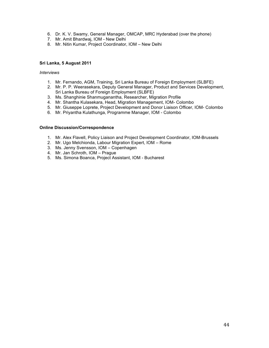- 6. Dr. K. V. Swamy, General Manager, OMCAP, MRC Hyderabad (over the phone)
- 7. Mr. Amit Bhardwaj, IOM New Delhi
- 8. Mr. Nitin Kumar, Project Coordinator, IOM New Delhi

#### **Sri Lanka, 5 August 2011**

#### *Interviews*

- 1. Mr. Fernando, AGM, Training, Sri Lanka Bureau of Foreign Employment (SLBFE)
- 2. Mr. P. P. Weerasekara, Deputy General Manager, Product and Services Development, Sri Lanka Bureau of Foreign Employment (SLBFE)
- 3. Ms. Shanghinie Shanmuganantha, Researcher, Migration Profile
- 4. Mr. Shantha Kulasekara, Head, Migration Management, IOM- Colombo
- 5. Mr. Giuseppe Loprete, Project Development and Donor Liaison Officer, IOM- Colombo
- 6. Mr. Priyantha Kulathunga, Programme Manager, IOM Colombo

#### **Online Discussion/Correspondence**

- 1. Mr. Alex Flavell, Policy Liaison and Project Development Coordinator, IOM-Brussels
- 2. Mr. Ugo Melchionda, Labour Migration Expert, IOM Rome
- 3. Ms. Jenny Svensson, IOM Copenhagen
- 4. Mr. Jan Schroth, IOM Prague
- 5. Ms. Simona Boanca, Project Assistant, IOM Bucharest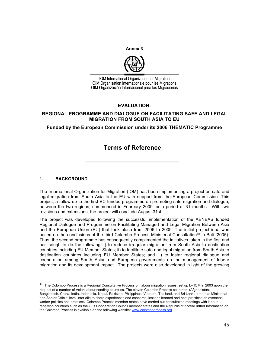**Annex 3**



IOM International Organization for Migration OIM Organisation Internationale pour les Migrations OIM Organización Internacional para las Migraciones

## **EVALUATION:**

## **REGIONAL PROGRAMME AND DIALOGUE ON FACILITATING SAFE AND LEGAL MIGRATION FROM SOUTH ASIA TO EU**

## **Funded by the European Commission under its 2006 THEMATIC Programme**

# **Terms of Reference**

**\_\_\_\_\_\_\_\_\_\_\_\_\_\_\_\_\_\_\_\_\_\_\_\_\_\_\_**

## **1. BACKGROUND**

The International Organization for Migration (IOM) has been implementing a project on safe and legal migration from South Asia to the EU with support from the European Commission. This project, a follow up to the first EC funded programme on promoting safe migration and dialogue, between the two regions, commenced in February 2009 for a period of 31 months. With two revisions and extensions, the project will conclude August 31st.

The project was developed following the successful implementation of the AENEAS funded Regional Dialogue and Programme on Facilitating Managed and Legal Migration Between Asia and the European Union (EU) that took place from 2006 to 2009. The initial project idea was based on the conclusions of the third Colombo Process Ministerial Consultation<sup>18</sup> in Bali (2005). Thus, the second programme has consequently complimented the initiatives taken in the first and has sough to do the following: i) to reduce irregular migration from South Asia to destination countries including EU Member States; ii) to facilitate safe and legal migration from South Asia to destination countries including EU Member States; and iii) to foster regional dialogue and cooperation among South Asian and European governments on the management of labour migration and its development impact. The projects were also developed in light of the growing

 $18$  The Colombo Process is a Regional Consultative Process on labour migration issues, set up by IOM in 2003 upon the request of a number of Asian labour sending countries. The eleven Colombo Process countries (Afghanistan, Bangladesh, China, India, Indonesia, Nepal, Pakistan, Philippines, Vietnam, Thailand, and Sri Lanka,) meet at Ministerial and Senior Official level inter alia to share experiences and concerns, lessons learned and best practices on overseas worker policies and practices. Colombo Process member states have carried out consultation meetings with labourreceiving countries such as the Gulf Cooperation Council member states and the Republic of KoreaFurther information on the Colombo Process is available on the following website: www.colomboprocess.org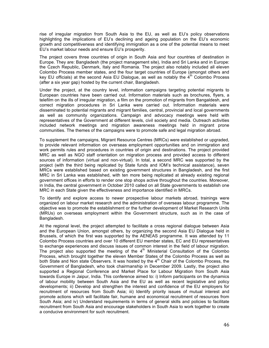rise of irregular migration from South Asia to the EU, as well as EU's policy observations highlighting the implications of EU's declining and ageing population on the EU's economic growth and competitiveness and identifying immigration as a one of the potential means to meet EU's market labour needs and ensure EU's prosperity.

The project covers three countries of origin in South Asia and four countries of destination in Europe. They are: Bangladesh (the project management site), India and Sri Lanka and in Europe: the Czech Republic, Denmark, Italy and Romania. The project also notably included all eleven Colombo Process member states, and the four target countries of Europe (amongst others and key EU officials) at the second Asia EU Dialogue, as well as notably the  $4<sup>th</sup>$  Colombo Process (after a six year gap) hosted by the current chair, Bangladesh.

Under the project, at the country level, information campaigns targeting potential migrants to European countries have been carried out. Information materials such as brochures, flyers, a telefilm on the ills of irregular migration, a film on the promotion of migrants from Bangaldesh, and correct migration procedures in Sri Lanka were carried out. Information materials were disseminated to potential migrants and migrant families, central, provincial and local governments as well as community organizations. Campaign and advocacy meetings were held with representatives of the Government at different levels, civil society and media. Outreach activities included network meetings and migration awareness meetings held in migrant prone communities. The themes of the campaigns were to promote safe and legal migration abroad.

To supplement the campaigns, Migrant Resource Centres (MRCs) were established or upgraded, to provide relevant information on overseas employment opportunities and on immigration and work permits rules and procedures in countries of origin and destinations. The project provided MRC as well as NGO staff orientation on migration process and provided access to different sources of information (virtual and non-virtual). In total, a second MRC was supported by the project (with the third being replicated by State funds and IOM's technical assistance), seven MRCs were established based on existing government structures in Bangladesh, and the first MRC in Sri Lanka was established, with ten more being replicated at already existing regional government offices in efforts to render one stop shops active throughout the countries. Moreover, in India, the central government in October 2010 called on all State governments to establish one MRC in each State given the effectiveness and importance identified in MRCs.

To identify and explore access to newer prospective labour markets abroad, trainings were organized on labour market research and the administration of overseas labour programme. The objective was to promote the establishment or the further development of Market Research Units (MRUs) on overseas employment within the Government structure, such as in the case of Bangladesh.

At the regional level, the project attempted to facilitate a cross regional dialogue between Asia and the European Union, amongst others, by organizing the second Asia EU Dialogue held in Brussels, of which the first was supported by the AENEAS programme. It was attended by 11 Colombo Process countries and over 10 different EU member states, EC and EU representatives to exchange experiences and discuss issues of common interest in the field of labour migration. The project also supported the meeting of the  $4<sup>th</sup>$  Ministerial Consultation of the Colombo Process, which brought together the eleven Member States of the Colombo Process as well as both State and Non state Observers. It was hosted by the  $4<sup>th</sup>$  Chair of the Colombo Process, the Government of Bangladesh, who took chairmanship in December 2009. Lastly, the project also supported a Regional Conference and Market Place for Labour Migration from South Asia towards Europe in Jaipur, India. This conference aimed to: i) Inform participants on the dynamics of labour mobility between South Asia and the EU as well as recent legislative and policy developments; ii) Develop and strengthen the interest and confidence of the EU employers for recruitment of resources from South Asia; iii) Identify priority issues of mutual interest and promote actions which will facilitate fair, humane and economical recruitment of resources from South Asia; and iv) Understand requirements in terms of general skills and policies to facilitate recruitment from South Asia and encourage stakeholders in South Asia to work together to create a conducive environment for such recruitment.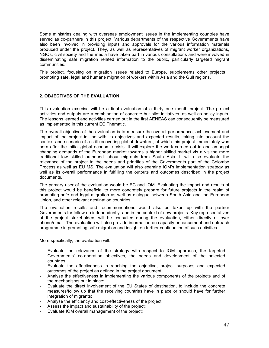Some ministries dealing with overseas employment issues in the implementing countries have served as co-partners in this project. Various departments of the respective Governments have also been involved in providing inputs and approvals for the various information materials produced under the project. They, as well as representatives of migrant worker organizations, NGOs, civil society and the media have taken part in various consultations and were involved in disseminating safe migration related information to the public, particularly targeted migrant communities.

This project, focusing on migration issues related to Europe, supplements other projects promoting safe, legal and humane migration of workers within Asia and the Gulf regions.

#### **2. OBJECTIVES OF THE EVALUATION**

This evaluation exercise will be a final evaluation of a thirty one month project. The project activities and outputs are a combination of concrete but pilot initiatives, as well as policy inputs. The lessons learned and activities carried out in the first AENEAS can consequently be measured as implemented in this current EC Thematic.

The overall objective of the evaluation is to measure the overall performance, achievement and impact of the project in line with its objectives and expected results, taking into account the context and scenario of a still recovering global downturn, of which this project immediately was born after the initial global economic crisis. It will explore the work carried out in and amongst changing demands of the European market towards a higher skilled market vis a vis the more traditional low skilled outbound labour migrants from South Asia. It will also evaluate the relevance of the project to the needs and priorities of the Governments part of the Colombo Process as well as EU MS. The evaluation will also examine IOM's implementation strategy as well as its overall performance in fulfilling the outputs and outcomes described in the project documents.

The primary user of the evaluation would be EC and IOM. Evaluating the impact and results of this project would be beneficial to more concretely prepare for future projects in the realm of promoting safe and legal migration as well as dialogue between South Asia and the European Union, and other relevant destination countries.

The evaluation results and recommendations would also be taken up with the partner Governments for follow up independently, and in the context of new projects. Key representatives of the project stakeholders will be consulted during the evaluation, either directly or over phone/email. The evaluation will also provide information on capacity enhancement and outreach programme in promoting safe migration and insight on further continuation of such activities.

More specifically, the evaluation will:

- Evaluate the relevance of the strategy with respect to IOM approach, the targeted Governments' co-operation objectives, the needs and development of the selected countries
- Evaluate the effectiveness in reaching the objective, project purposes and expected outcomes of the project as defined in the project document;
- Analyse the effectiveness in implementing the various components of the projects and of the mechanisms put in place;
- Evaluate the direct involvement of the EU States of destination, to include the concrete measures/follow up that the receiving countries have in place or should have for further integration of migrants;
- Analyse the efficiency and cost-effectiveness of the project;
- Assess the impact and sustainability of the project;
- Evaluate IOM overall management of the project;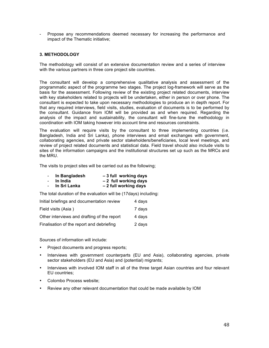Propose any recommendations deemed necessary for increasing the performance and impact of the Thematic initiative;

### **3. METHODOLOGY**

The methodology will consist of an extensive documentation review and a series of interview with the various partners in three core project site countries.

The consultant will develop a comprehensive qualitative analysis and assessment of the programmatic aspect of the programme two stages. The project log-framework will serve as the basis for the assessment. Following review of the existing project related documents, interview with key stakeholders related to projects will be undertaken, either in person or over phone. The consultant is expected to take upon necessary methodologies to produce an in depth report. For that any required interviews, field visits, studies, evaluation of documents is to be performed by the consultant. Guidance from IOM will be provided as and when required. Regarding the analysis of the impact and sustainability, the consultant will fine-tune the methodology in coordination with IOM taking however into account time and resources constraints.

The evaluation will require visits by the consultant to three implementing countries (i.e. Bangladesh, India and Sri Lanka), phone interviews and email exchanges with government, collaborating agencies, and private sector stakeholders/beneficiaries, local level meetings, and review of project related documents and statistical data. Field travel should also include visits to sites of the information campaigns and the institutional structures set up such as the MRCs and the MRU.

The visits to project sites will be carried out as the following;

| $\sim$         | In Bangladesh | -3 full working days  |
|----------------|---------------|-----------------------|
| $\overline{a}$ | In India      | -2 full working days  |
| $\sim$         | In Sri Lanka  | - 2 full working days |

The total duration of the evaluation will be (17days) including:

| Initial briefings and documentation review  | 4 days |
|---------------------------------------------|--------|
| Field visits (Asia)                         | 7 days |
| Other interviews and drafting of the report | 4 days |
| Finalisation of the report and debriefing   | 2 days |

Sources of information will include:

- Project documents and progress reports;
- Interviews with government counterparts (EU and Asia), collaborating agencies, private sector stakeholders (EU and Asia) and (potential) migrants;
- Interviews with involved IOM staff in all of the three target Asian countries and four relevant EU countries;
- Colombo Process website;
- Review any other relevant documentation that could be made available by IOM